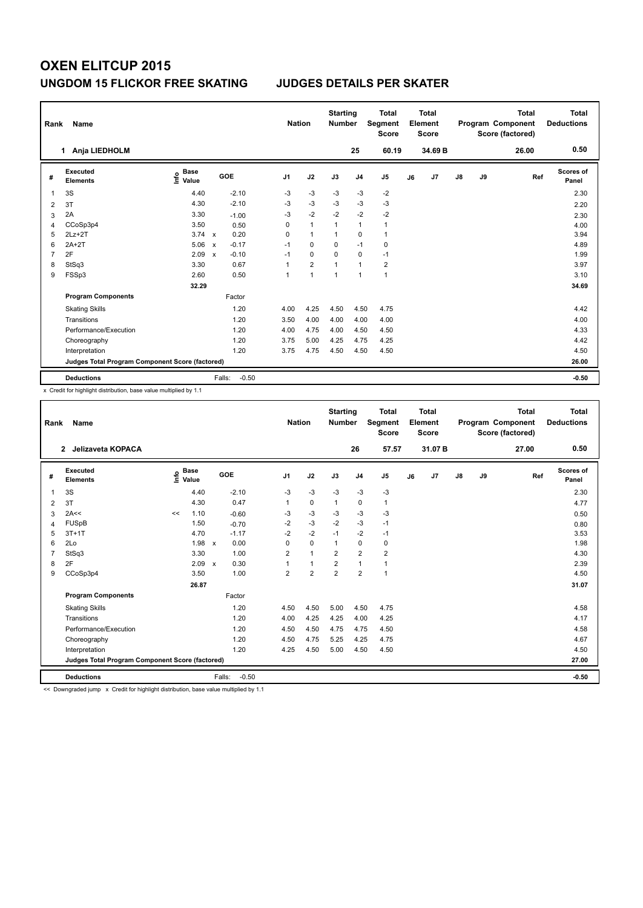| Rank | Name                                            |                                  |                           |         | <b>Nation</b>  |                | <b>Starting</b><br><b>Number</b> |                | <b>Total</b><br>Segment<br><b>Score</b> |    | <b>Total</b><br>Element<br><b>Score</b> |               |    | <b>Total</b><br>Program Component<br>Score (factored) | <b>Total</b><br><b>Deductions</b> |
|------|-------------------------------------------------|----------------------------------|---------------------------|---------|----------------|----------------|----------------------------------|----------------|-----------------------------------------|----|-----------------------------------------|---------------|----|-------------------------------------------------------|-----------------------------------|
|      | Anja LIEDHOLM<br>1                              |                                  |                           |         |                |                |                                  | 25             | 60.19                                   |    | 34.69 B                                 |               |    | 26.00                                                 | 0.50                              |
| #    | Executed<br><b>Elements</b>                     | <b>Base</b><br>e Base<br>⊆ Value |                           | GOE     | J <sub>1</sub> | J2             | J3                               | J <sub>4</sub> | J <sub>5</sub>                          | J6 | J7                                      | $\mathsf{J}8$ | J9 | Ref                                                   | Scores of<br>Panel                |
| 1    | 3S                                              | 4.40                             |                           | $-2.10$ | $-3$           | $-3$           | $-3$                             | $-3$           | $-2$                                    |    |                                         |               |    |                                                       | 2.30                              |
| 2    | 3T                                              | 4.30                             |                           | $-2.10$ | $-3$           | $-3$           | $-3$                             | $-3$           | $-3$                                    |    |                                         |               |    |                                                       | 2.20                              |
| 3    | 2A                                              | 3.30                             |                           | $-1.00$ | $-3$           | $-2$           | $-2$                             | $-2$           | $-2$                                    |    |                                         |               |    |                                                       | 2.30                              |
| 4    | CCoSp3p4                                        | 3.50                             |                           | 0.50    | 0              | $\mathbf{1}$   | 1                                | $\mathbf{1}$   | $\mathbf{1}$                            |    |                                         |               |    |                                                       | 4.00                              |
| 5    | $2Lz+2T$                                        | $3.74 \times$                    |                           | 0.20    | 0              | $\mathbf{1}$   | 1                                | 0              | $\mathbf{1}$                            |    |                                         |               |    |                                                       | 3.94                              |
| 6    | $2A+2T$                                         | 5.06                             | $\mathbf x$               | $-0.17$ | $-1$           | $\mathbf 0$    | $\Omega$                         | $-1$           | $\pmb{0}$                               |    |                                         |               |    |                                                       | 4.89                              |
| 7    | 2F                                              | 2.09                             | $\boldsymbol{\mathsf{x}}$ | $-0.10$ | $-1$           | $\mathbf 0$    | $\mathbf 0$                      | $\mathbf 0$    | $-1$                                    |    |                                         |               |    |                                                       | 1.99                              |
| 8    | StSq3                                           | 3.30                             |                           | 0.67    | 1              | $\overline{2}$ | 1                                | $\overline{1}$ | $\overline{2}$                          |    |                                         |               |    |                                                       | 3.97                              |
| 9    | FSSp3                                           | 2.60                             |                           | 0.50    | 1              | $\overline{1}$ | $\overline{1}$                   | $\overline{1}$ | $\mathbf{1}$                            |    |                                         |               |    |                                                       | 3.10                              |
|      |                                                 | 32.29                            |                           |         |                |                |                                  |                |                                         |    |                                         |               |    |                                                       | 34.69                             |
|      | <b>Program Components</b>                       |                                  |                           | Factor  |                |                |                                  |                |                                         |    |                                         |               |    |                                                       |                                   |
|      | <b>Skating Skills</b>                           |                                  |                           | 1.20    | 4.00           | 4.25           | 4.50                             | 4.50           | 4.75                                    |    |                                         |               |    |                                                       | 4.42                              |
|      | Transitions                                     |                                  |                           | 1.20    | 3.50           | 4.00           | 4.00                             | 4.00           | 4.00                                    |    |                                         |               |    |                                                       | 4.00                              |
|      | Performance/Execution                           |                                  |                           | 1.20    | 4.00           | 4.75           | 4.00                             | 4.50           | 4.50                                    |    |                                         |               |    |                                                       | 4.33                              |
|      | Choreography                                    |                                  |                           | 1.20    | 3.75           | 5.00           | 4.25                             | 4.75           | 4.25                                    |    |                                         |               |    |                                                       | 4.42                              |
|      | Interpretation                                  |                                  |                           | 1.20    | 3.75           | 4.75           | 4.50                             | 4.50           | 4.50                                    |    |                                         |               |    |                                                       | 4.50                              |
|      | Judges Total Program Component Score (factored) |                                  |                           |         |                |                |                                  |                |                                         |    |                                         |               |    |                                                       | 26.00                             |
|      | <b>Deductions</b>                               |                                  | Falls:                    | $-0.50$ |                |                |                                  |                |                                         |    |                                         |               |    |                                                       | $-0.50$                           |

x Credit for highlight distribution, base value multiplied by 1.1

| Rank           | Name                                            |    |                                  |                      | <b>Nation</b>  |                | <b>Starting</b><br><b>Number</b> |                | <b>Total</b><br>Segment<br><b>Score</b> |    | <b>Total</b><br>Element<br><b>Score</b> |    |    | <b>Total</b><br>Program Component<br>Score (factored) | <b>Total</b><br><b>Deductions</b> |
|----------------|-------------------------------------------------|----|----------------------------------|----------------------|----------------|----------------|----------------------------------|----------------|-----------------------------------------|----|-----------------------------------------|----|----|-------------------------------------------------------|-----------------------------------|
|                | Jelizaveta KOPACA<br>$\mathbf{2}$               |    |                                  |                      |                |                |                                  | 26             | 57.57                                   |    | 31.07B                                  |    |    | 27.00                                                 | 0.50                              |
| #              | Executed<br><b>Elements</b>                     |    | <b>Base</b><br>e Base<br>⊆ Value | GOE                  | J <sub>1</sub> | J2             | J3                               | J <sub>4</sub> | J <sub>5</sub>                          | J6 | J <sub>7</sub>                          | J8 | J9 | Ref                                                   | <b>Scores of</b><br>Panel         |
| $\mathbf{1}$   | 3S                                              |    | 4.40                             | $-2.10$              | $-3$           | $-3$           | $-3$                             | $-3$           | $-3$                                    |    |                                         |    |    |                                                       | 2.30                              |
| 2              | 3T                                              |    | 4.30                             | 0.47                 | 1              | $\mathbf 0$    | 1                                | 0              | $\mathbf{1}$                            |    |                                         |    |    |                                                       | 4.77                              |
| 3              | 2A<<                                            | << | 1.10                             | $-0.60$              | $-3$           | $-3$           | $-3$                             | $-3$           | $-3$                                    |    |                                         |    |    |                                                       | 0.50                              |
| $\overline{4}$ | <b>FUSpB</b>                                    |    | 1.50                             | $-0.70$              | $-2$           | $-3$           | $-2$                             | $-3$           | $-1$                                    |    |                                         |    |    |                                                       | 0.80                              |
| 5              | $3T+1T$                                         |    | 4.70                             | $-1.17$              | $-2$           | $-2$           | $-1$                             | $-2$           | $-1$                                    |    |                                         |    |    |                                                       | 3.53                              |
| 6              | 2Lo                                             |    | 1.98                             | 0.00<br>$\mathsf{x}$ | 0              | 0              | $\mathbf{1}$                     | 0              | 0                                       |    |                                         |    |    |                                                       | 1.98                              |
| $\overline{7}$ | StSq3                                           |    | 3.30                             | 1.00                 | $\overline{2}$ | $\mathbf{1}$   | $\overline{2}$                   | $\overline{2}$ | $\overline{\mathbf{c}}$                 |    |                                         |    |    |                                                       | 4.30                              |
| 8              | 2F                                              |    | 2.09                             | 0.30<br>$\mathbf x$  | 1              | $\mathbf{1}$   | $\overline{2}$                   | $\mathbf{1}$   | 1                                       |    |                                         |    |    |                                                       | 2.39                              |
| 9              | CCoSp3p4                                        |    | 3.50                             | 1.00                 | $\overline{2}$ | $\overline{2}$ | $\overline{2}$                   | $\overline{2}$ | 1                                       |    |                                         |    |    |                                                       | 4.50                              |
|                |                                                 |    | 26.87                            |                      |                |                |                                  |                |                                         |    |                                         |    |    |                                                       | 31.07                             |
|                | <b>Program Components</b>                       |    |                                  | Factor               |                |                |                                  |                |                                         |    |                                         |    |    |                                                       |                                   |
|                | <b>Skating Skills</b>                           |    |                                  | 1.20                 | 4.50           | 4.50           | 5.00                             | 4.50           | 4.75                                    |    |                                         |    |    |                                                       | 4.58                              |
|                | Transitions                                     |    |                                  | 1.20                 | 4.00           | 4.25           | 4.25                             | 4.00           | 4.25                                    |    |                                         |    |    |                                                       | 4.17                              |
|                | Performance/Execution                           |    |                                  | 1.20                 | 4.50           | 4.50           | 4.75                             | 4.75           | 4.50                                    |    |                                         |    |    |                                                       | 4.58                              |
|                | Choreography                                    |    |                                  | 1.20                 | 4.50           | 4.75           | 5.25                             | 4.25           | 4.75                                    |    |                                         |    |    |                                                       | 4.67                              |
|                | Interpretation                                  |    |                                  | 1.20                 | 4.25           | 4.50           | 5.00                             | 4.50           | 4.50                                    |    |                                         |    |    |                                                       | 4.50                              |
|                | Judges Total Program Component Score (factored) |    |                                  |                      |                |                |                                  |                |                                         |    |                                         |    |    |                                                       | 27.00                             |
|                | <b>Deductions</b>                               |    |                                  | $-0.50$<br>Falls:    |                |                |                                  |                |                                         |    |                                         |    |    |                                                       | $-0.50$                           |

<< Downgraded jump x Credit for highlight distribution, base value multiplied by 1.1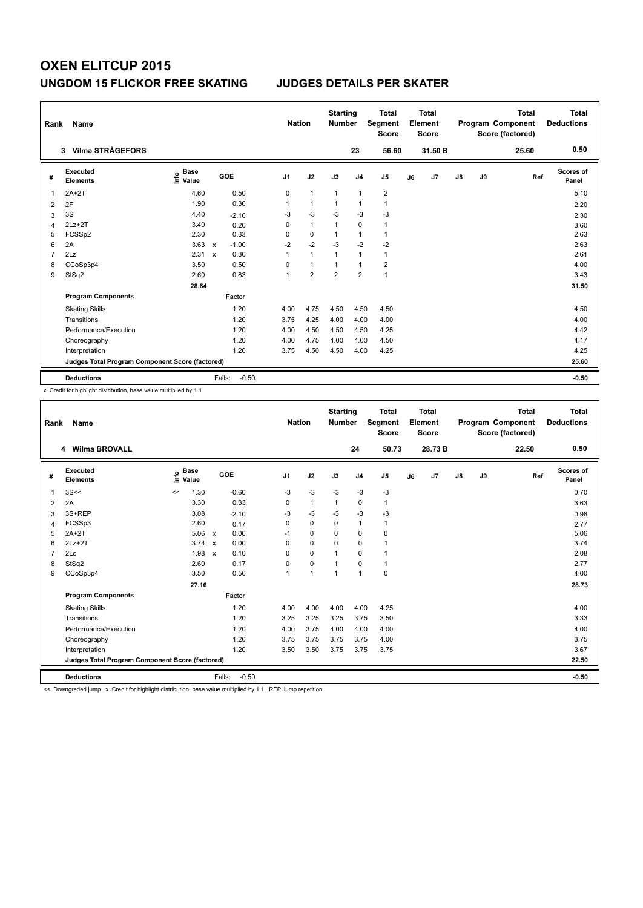| Rank           | Name                                            |                                  |                           |         | <b>Nation</b>  |                | <b>Starting</b><br><b>Number</b> |                | <b>Total</b><br><b>Segment</b><br><b>Score</b> |    | <b>Total</b><br>Element<br><b>Score</b> |    |    | <b>Total</b><br>Program Component<br>Score (factored) | Total<br><b>Deductions</b> |
|----------------|-------------------------------------------------|----------------------------------|---------------------------|---------|----------------|----------------|----------------------------------|----------------|------------------------------------------------|----|-----------------------------------------|----|----|-------------------------------------------------------|----------------------------|
|                | <b>Vilma STRÅGEFORS</b><br>3                    |                                  |                           |         |                |                |                                  | 23             | 56.60                                          |    | 31.50 B                                 |    |    | 25.60                                                 | 0.50                       |
| #              | Executed<br><b>Elements</b>                     | <b>Base</b><br>e Base<br>⊆ Value | GOE                       |         | J <sub>1</sub> | J2             | J3                               | J <sub>4</sub> | J <sub>5</sub>                                 | J6 | J7                                      | J8 | J9 | Ref                                                   | Scores of<br>Panel         |
| 1              | $2A+2T$                                         | 4.60                             |                           | 0.50    | 0              | $\overline{1}$ | $\mathbf{1}$                     | $\mathbf{1}$   | $\overline{\mathbf{c}}$                        |    |                                         |    |    |                                                       | 5.10                       |
| $\overline{2}$ | 2F                                              | 1.90                             |                           | 0.30    | 1              | $\overline{1}$ | $\overline{1}$                   | $\mathbf{1}$   | $\mathbf{1}$                                   |    |                                         |    |    |                                                       | 2.20                       |
| 3              | 3S                                              | 4.40                             |                           | $-2.10$ | -3             | $-3$           | $-3$                             | -3             | $-3$                                           |    |                                         |    |    |                                                       | 2.30                       |
| 4              | $2Lz + 2T$                                      | 3.40                             |                           | 0.20    | 0              | $\overline{1}$ | $\overline{1}$                   | 0              | 1                                              |    |                                         |    |    |                                                       | 3.60                       |
| 5              | FCSSp2                                          | 2.30                             |                           | 0.33    | 0              | 0              | $\mathbf{1}$                     | $\mathbf{1}$   | $\mathbf{1}$                                   |    |                                         |    |    |                                                       | 2.63                       |
| 6              | 2A                                              | 3.63                             | $\mathsf{x}$              | $-1.00$ | $-2$           | $-2$           | $-3$                             | $-2$           | $-2$                                           |    |                                         |    |    |                                                       | 2.63                       |
| $\overline{7}$ | 2Lz                                             | 2.31                             | $\boldsymbol{\mathsf{x}}$ | 0.30    | 1              | $\mathbf{1}$   | $\overline{1}$                   | $\mathbf{1}$   | $\mathbf{1}$                                   |    |                                         |    |    |                                                       | 2.61                       |
| 8              | CCoSp3p4                                        | 3.50                             |                           | 0.50    | 0              | $\mathbf{1}$   | $\mathbf{1}$                     | $\mathbf{1}$   | $\overline{2}$                                 |    |                                         |    |    |                                                       | 4.00                       |
| 9              | StSq2                                           | 2.60                             |                           | 0.83    | 1              | $\overline{2}$ | $\overline{2}$                   | $\overline{2}$ | $\mathbf{1}$                                   |    |                                         |    |    |                                                       | 3.43                       |
|                |                                                 | 28.64                            |                           |         |                |                |                                  |                |                                                |    |                                         |    |    |                                                       | 31.50                      |
|                | <b>Program Components</b>                       |                                  |                           | Factor  |                |                |                                  |                |                                                |    |                                         |    |    |                                                       |                            |
|                | <b>Skating Skills</b>                           |                                  |                           | 1.20    | 4.00           | 4.75           | 4.50                             | 4.50           | 4.50                                           |    |                                         |    |    |                                                       | 4.50                       |
|                | Transitions                                     |                                  |                           | 1.20    | 3.75           | 4.25           | 4.00                             | 4.00           | 4.00                                           |    |                                         |    |    |                                                       | 4.00                       |
|                | Performance/Execution                           |                                  |                           | 1.20    | 4.00           | 4.50           | 4.50                             | 4.50           | 4.25                                           |    |                                         |    |    |                                                       | 4.42                       |
|                | Choreography                                    |                                  |                           | 1.20    | 4.00           | 4.75           | 4.00                             | 4.00           | 4.50                                           |    |                                         |    |    |                                                       | 4.17                       |
|                | Interpretation                                  |                                  |                           | 1.20    | 3.75           | 4.50           | 4.50                             | 4.00           | 4.25                                           |    |                                         |    |    |                                                       | 4.25                       |
|                | Judges Total Program Component Score (factored) |                                  |                           |         |                |                |                                  |                |                                                |    |                                         |    |    |                                                       | 25.60                      |
|                | <b>Deductions</b>                               |                                  | Falls:                    | $-0.50$ |                |                |                                  |                |                                                |    |                                         |    |    |                                                       | $-0.50$                    |

x Credit for highlight distribution, base value multiplied by 1.1

| Rank           | Name                                            |                                  |                      | <b>Nation</b>        |                      | <b>Starting</b><br><b>Number</b> |                | <b>Total</b><br>Segment<br><b>Score</b> |    | Total<br>Element<br><b>Score</b> |    |    | Total<br>Program Component<br>Score (factored) | Total<br><b>Deductions</b> |
|----------------|-------------------------------------------------|----------------------------------|----------------------|----------------------|----------------------|----------------------------------|----------------|-----------------------------------------|----|----------------------------------|----|----|------------------------------------------------|----------------------------|
|                | 4 Wilma BROVALL                                 |                                  |                      |                      |                      |                                  | 24             | 50.73                                   |    | 28.73 B                          |    |    | 22.50                                          | 0.50                       |
| #              | Executed<br><b>Elements</b>                     | <b>Base</b><br>e Base<br>⊆ Value | GOE                  | J <sub>1</sub>       | J2                   | J3                               | J <sub>4</sub> | J5                                      | J6 | J7                               | J8 | J9 | Ref                                            | Scores of<br>Panel         |
| 1              | 3S <                                            | 1.30<br><<                       | $-0.60$              | $-3$                 | $-3$                 | $-3$                             | $-3$           | $-3$                                    |    |                                  |    |    |                                                | 0.70                       |
| 2              | 2A                                              | 3.30                             | 0.33                 | 0                    | $\mathbf{1}$         | 1                                | 0              | 1                                       |    |                                  |    |    |                                                | 3.63                       |
| 3              | 3S+REP                                          | 3.08                             | $-2.10$              | $-3$                 | $-3$                 | $-3$                             | $-3$           | $-3$                                    |    |                                  |    |    |                                                | 0.98                       |
| $\overline{4}$ | FCSSp3                                          | 2.60                             | 0.17                 | $\Omega$             | $\Omega$             | $\Omega$                         | $\mathbf{1}$   | 1                                       |    |                                  |    |    |                                                | 2.77                       |
| 5              | $2A+2T$                                         | 5.06                             | 0.00<br>$\mathsf{x}$ | $-1$                 | $\mathbf 0$          | $\Omega$                         | 0              | 0                                       |    |                                  |    |    |                                                | 5.06                       |
| 6              | $2Lz+2T$                                        | $3.74 \times$                    | 0.00                 | $\Omega$             | $\mathbf 0$          | $\Omega$                         | 0              | 1                                       |    |                                  |    |    |                                                | 3.74                       |
| $\overline{7}$ | 2Lo                                             | 1.98                             | 0.10<br>$\mathsf{x}$ | $\Omega$             | $\Omega$             | 1                                | $\Omega$       | 1                                       |    |                                  |    |    |                                                | 2.08                       |
| 8              | StSq2                                           | 2.60                             | 0.17                 | $\Omega$             | $\mathbf 0$          | $\overline{1}$                   | 0              | $\mathbf{1}$                            |    |                                  |    |    |                                                | 2.77                       |
| 9              | CCoSp3p4                                        | 3.50                             | 0.50                 | $\blacktriangleleft$ | $\blacktriangleleft$ | $\overline{1}$                   | $\mathbf{1}$   | 0                                       |    |                                  |    |    |                                                | 4.00                       |
|                |                                                 | 27.16                            |                      |                      |                      |                                  |                |                                         |    |                                  |    |    |                                                | 28.73                      |
|                | <b>Program Components</b>                       |                                  | Factor               |                      |                      |                                  |                |                                         |    |                                  |    |    |                                                |                            |
|                | <b>Skating Skills</b>                           |                                  | 1.20                 | 4.00                 | 4.00                 | 4.00                             | 4.00           | 4.25                                    |    |                                  |    |    |                                                | 4.00                       |
|                | Transitions                                     |                                  | 1.20                 | 3.25                 | 3.25                 | 3.25                             | 3.75           | 3.50                                    |    |                                  |    |    |                                                | 3.33                       |
|                | Performance/Execution                           |                                  | 1.20                 | 4.00                 | 3.75                 | 4.00                             | 4.00           | 4.00                                    |    |                                  |    |    |                                                | 4.00                       |
|                | Choreography                                    |                                  | 1.20                 | 3.75                 | 3.75                 | 3.75                             | 3.75           | 4.00                                    |    |                                  |    |    |                                                | 3.75                       |
|                | Interpretation                                  |                                  | 1.20                 | 3.50                 | 3.50                 | 3.75                             | 3.75           | 3.75                                    |    |                                  |    |    |                                                | 3.67                       |
|                | Judges Total Program Component Score (factored) |                                  |                      |                      |                      |                                  |                |                                         |    |                                  |    |    |                                                | 22.50                      |
|                | <b>Deductions</b>                               |                                  | $-0.50$<br>Falls:    |                      |                      |                                  |                |                                         |    |                                  |    |    |                                                | $-0.50$                    |

<< Downgraded jump x Credit for highlight distribution, base value multiplied by 1.1 REP Jump repetition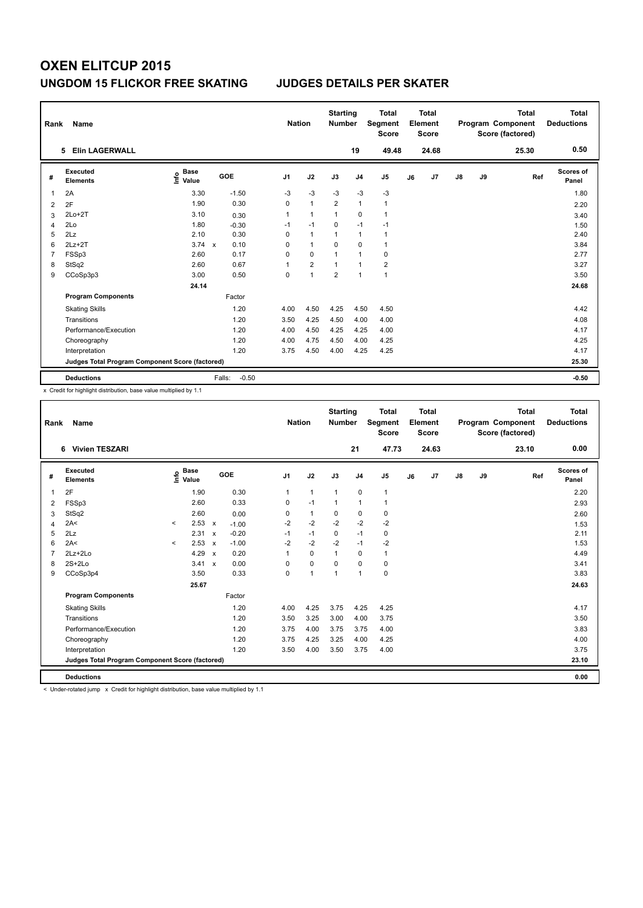| Rank           | Name                                            |                                  |                      | <b>Nation</b>  |                | <b>Starting</b><br><b>Number</b> |                | <b>Total</b><br>Segment<br><b>Score</b> |    | Total<br>Element<br>Score |               |    | <b>Total</b><br>Program Component<br>Score (factored) | Total<br><b>Deductions</b> |
|----------------|-------------------------------------------------|----------------------------------|----------------------|----------------|----------------|----------------------------------|----------------|-----------------------------------------|----|---------------------------|---------------|----|-------------------------------------------------------|----------------------------|
|                | 5 Elin LAGERWALL                                |                                  |                      |                |                |                                  | 19             | 49.48                                   |    | 24.68                     |               |    | 25.30                                                 | 0.50                       |
| #              | Executed<br><b>Elements</b>                     | <b>Base</b><br>e Base<br>⊆ Value | GOE                  | J <sub>1</sub> | J2             | J3                               | J <sub>4</sub> | J <sub>5</sub>                          | J6 | J7                        | $\mathsf{J}8$ | J9 | Ref                                                   | <b>Scores of</b><br>Panel  |
| 1              | 2A                                              | 3.30                             | $-1.50$              | $-3$           | $-3$           | $-3$                             | $-3$           | $-3$                                    |    |                           |               |    |                                                       | 1.80                       |
| 2              | 2F                                              | 1.90                             | 0.30                 | 0              | $\overline{1}$ | $\overline{2}$                   | $\mathbf{1}$   | $\mathbf{1}$                            |    |                           |               |    |                                                       | 2.20                       |
| 3              | 2Lo+2T                                          | 3.10                             | 0.30                 | 1              | $\overline{1}$ | $\mathbf{1}$                     | $\mathbf 0$    | $\mathbf{1}$                            |    |                           |               |    |                                                       | 3.40                       |
| 4              | 2Lo                                             | 1.80                             | $-0.30$              | $-1$           | $-1$           | $\Omega$                         | $-1$           | $-1$                                    |    |                           |               |    |                                                       | 1.50                       |
| 5              | 2Lz                                             | 2.10                             | 0.30                 | 0              | $\overline{1}$ | $\mathbf{1}$                     | $\mathbf{1}$   | $\mathbf{1}$                            |    |                           |               |    |                                                       | 2.40                       |
| 6              | $2Lz+2T$                                        | 3.74                             | 0.10<br>$\mathbf{x}$ | 0              | $\mathbf{1}$   | $\Omega$                         | $\mathbf 0$    | $\mathbf{1}$                            |    |                           |               |    |                                                       | 3.84                       |
| $\overline{7}$ | FSSp3                                           | 2.60                             | 0.17                 | 0              | 0              | $\overline{1}$                   | $\mathbf{1}$   | 0                                       |    |                           |               |    |                                                       | 2.77                       |
| 8              | StSq2                                           | 2.60                             | 0.67                 | 1              | $\overline{2}$ | $\mathbf{1}$                     | $\mathbf{1}$   | $\overline{2}$                          |    |                           |               |    |                                                       | 3.27                       |
| 9              | CCoSp3p3                                        | 3.00                             | 0.50                 | 0              | $\overline{1}$ | $\overline{2}$                   | $\mathbf{1}$   | $\mathbf{1}$                            |    |                           |               |    |                                                       | 3.50                       |
|                |                                                 | 24.14                            |                      |                |                |                                  |                |                                         |    |                           |               |    |                                                       | 24.68                      |
|                | <b>Program Components</b>                       |                                  | Factor               |                |                |                                  |                |                                         |    |                           |               |    |                                                       |                            |
|                | <b>Skating Skills</b>                           |                                  | 1.20                 | 4.00           | 4.50           | 4.25                             | 4.50           | 4.50                                    |    |                           |               |    |                                                       | 4.42                       |
|                | Transitions                                     |                                  | 1.20                 | 3.50           | 4.25           | 4.50                             | 4.00           | 4.00                                    |    |                           |               |    |                                                       | 4.08                       |
|                | Performance/Execution                           |                                  | 1.20                 | 4.00           | 4.50           | 4.25                             | 4.25           | 4.00                                    |    |                           |               |    |                                                       | 4.17                       |
|                | Choreography                                    |                                  | 1.20                 | 4.00           | 4.75           | 4.50                             | 4.00           | 4.25                                    |    |                           |               |    |                                                       | 4.25                       |
|                | Interpretation                                  |                                  | 1.20                 | 3.75           | 4.50           | 4.00                             | 4.25           | 4.25                                    |    |                           |               |    |                                                       | 4.17                       |
|                | Judges Total Program Component Score (factored) |                                  |                      |                |                |                                  |                |                                         |    |                           |               |    |                                                       | 25.30                      |
|                | <b>Deductions</b>                               |                                  | $-0.50$<br>Falls:    |                |                |                                  |                |                                         |    |                           |               |    |                                                       | $-0.50$                    |

x Credit for highlight distribution, base value multiplied by 1.1

| Rank           | <b>Name</b>                                     |         |                                  |                           |         | <b>Nation</b>  |              | <b>Starting</b><br><b>Number</b> |                | <b>Total</b><br>Segment<br><b>Score</b> |    | Total<br>Element<br><b>Score</b> |               |    | <b>Total</b><br>Program Component<br>Score (factored) | Total<br><b>Deductions</b> |
|----------------|-------------------------------------------------|---------|----------------------------------|---------------------------|---------|----------------|--------------|----------------------------------|----------------|-----------------------------------------|----|----------------------------------|---------------|----|-------------------------------------------------------|----------------------------|
|                | 6 Vivien TESZARI                                |         |                                  |                           |         |                |              |                                  | 21             | 47.73                                   |    | 24.63                            |               |    | 23.10                                                 | 0.00                       |
| #              | Executed<br><b>Elements</b>                     |         | <b>Base</b><br>e Base<br>⊆ Value |                           | GOE     | J <sub>1</sub> | J2           | J3                               | J <sub>4</sub> | J <sub>5</sub>                          | J6 | J7                               | $\mathsf{J}8$ | J9 | Ref                                                   | Scores of<br>Panel         |
| $\overline{1}$ | 2F                                              |         | 1.90                             |                           | 0.30    | $\mathbf{1}$   | $\mathbf{1}$ | $\mathbf{1}$                     | $\mathbf 0$    | $\mathbf{1}$                            |    |                                  |               |    |                                                       | 2.20                       |
| 2              | FSSp3                                           |         | 2.60                             |                           | 0.33    | 0              | $-1$         | $\mathbf{1}$                     | $\mathbf{1}$   | 1                                       |    |                                  |               |    |                                                       | 2.93                       |
| 3              | StSq2                                           |         | 2.60                             |                           | 0.00    | 0              | $\mathbf{1}$ | 0                                | $\mathbf 0$    | $\mathbf 0$                             |    |                                  |               |    |                                                       | 2.60                       |
| $\overline{4}$ | 2A<                                             | $\prec$ | 2.53                             | $\mathsf{x}$              | $-1.00$ | $-2$           | $-2$         | $-2$                             | $-2$           | $-2$                                    |    |                                  |               |    |                                                       | 1.53                       |
| 5              | 2Lz                                             |         | 2.31                             | $\boldsymbol{\mathsf{x}}$ | $-0.20$ | $-1$           | $-1$         | $\mathbf 0$                      | $-1$           | $\mathbf 0$                             |    |                                  |               |    |                                                       | 2.11                       |
| 6              | 2A<                                             | $\prec$ | 2.53                             | $\boldsymbol{\mathsf{x}}$ | $-1.00$ | $-2$           | $-2$         | $-2$                             | $-1$           | $-2$                                    |    |                                  |               |    |                                                       | 1.53                       |
| $\overline{7}$ | $2Lz+2Lo$                                       |         | 4.29                             | $\boldsymbol{\mathsf{x}}$ | 0.20    | $\mathbf{1}$   | $\mathbf 0$  | $\mathbf{1}$                     | $\mathbf 0$    | $\mathbf{1}$                            |    |                                  |               |    |                                                       | 4.49                       |
| 8              | $2S+2Lo$                                        |         | 3.41                             | $\boldsymbol{\mathsf{x}}$ | 0.00    | $\Omega$       | $\mathbf 0$  | $\Omega$                         | 0              | 0                                       |    |                                  |               |    |                                                       | 3.41                       |
| 9              | CCoSp3p4                                        |         | 3.50                             |                           | 0.33    | 0              | $\mathbf{1}$ | $\mathbf{1}$                     | $\mathbf{1}$   | $\mathbf 0$                             |    |                                  |               |    |                                                       | 3.83                       |
|                |                                                 |         | 25.67                            |                           |         |                |              |                                  |                |                                         |    |                                  |               |    |                                                       | 24.63                      |
|                | <b>Program Components</b>                       |         |                                  |                           | Factor  |                |              |                                  |                |                                         |    |                                  |               |    |                                                       |                            |
|                | <b>Skating Skills</b>                           |         |                                  |                           | 1.20    | 4.00           | 4.25         | 3.75                             | 4.25           | 4.25                                    |    |                                  |               |    |                                                       | 4.17                       |
|                | Transitions                                     |         |                                  |                           | 1.20    | 3.50           | 3.25         | 3.00                             | 4.00           | 3.75                                    |    |                                  |               |    |                                                       | 3.50                       |
|                | Performance/Execution                           |         |                                  |                           | 1.20    | 3.75           | 4.00         | 3.75                             | 3.75           | 4.00                                    |    |                                  |               |    |                                                       | 3.83                       |
|                | Choreography                                    |         |                                  |                           | 1.20    | 3.75           | 4.25         | 3.25                             | 4.00           | 4.25                                    |    |                                  |               |    |                                                       | 4.00                       |
|                | Interpretation                                  |         |                                  |                           | 1.20    | 3.50           | 4.00         | 3.50                             | 3.75           | 4.00                                    |    |                                  |               |    |                                                       | 3.75                       |
|                | Judges Total Program Component Score (factored) |         |                                  |                           |         |                |              |                                  |                |                                         |    |                                  |               |    |                                                       | 23.10                      |
|                | <b>Deductions</b>                               |         |                                  |                           |         |                |              |                                  |                |                                         |    |                                  |               |    |                                                       | 0.00                       |

< Under-rotated jump x Credit for highlight distribution, base value multiplied by 1.1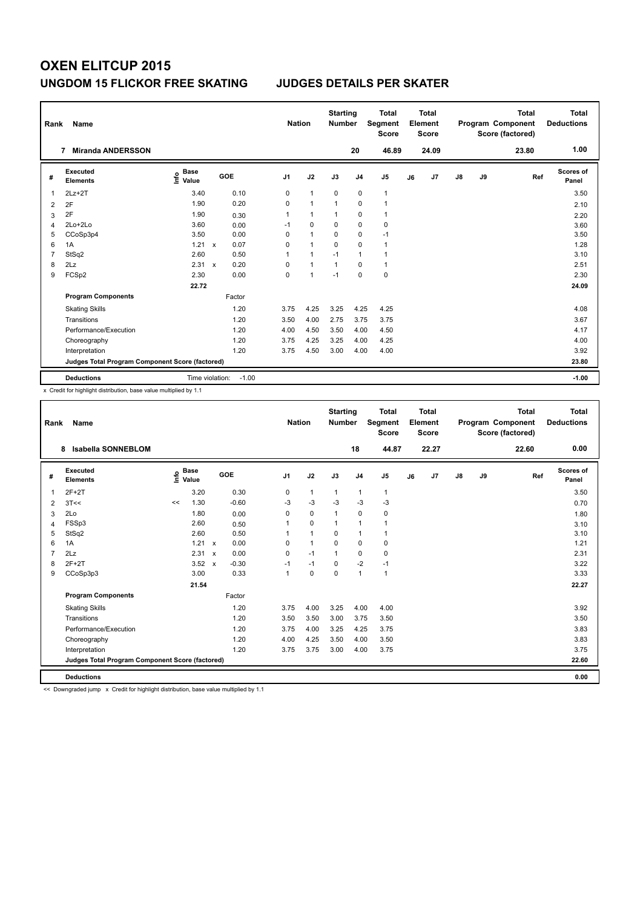| Rank           | Name                                            |                                  |                                   |                | <b>Nation</b>  | <b>Starting</b><br><b>Number</b> |                | <b>Total</b><br>Segment<br><b>Score</b> |    | <b>Total</b><br>Element<br><b>Score</b> |    |    | <b>Total</b><br>Program Component<br>Score (factored) | Total<br><b>Deductions</b> |
|----------------|-------------------------------------------------|----------------------------------|-----------------------------------|----------------|----------------|----------------------------------|----------------|-----------------------------------------|----|-----------------------------------------|----|----|-------------------------------------------------------|----------------------------|
|                | <b>Miranda ANDERSSON</b><br>7                   |                                  |                                   |                |                |                                  | 20             | 46.89                                   |    | 24.09                                   |    |    | 23.80                                                 | 1.00                       |
| #              | <b>Executed</b><br><b>Elements</b>              | <b>Base</b><br>e Base<br>⊆ Value | GOE                               | J <sub>1</sub> | J2             | J3                               | J <sub>4</sub> | J <sub>5</sub>                          | J6 | J7                                      | J8 | J9 | Ref                                                   | <b>Scores of</b><br>Panel  |
| 1              | $2Lz+2T$                                        | 3.40                             | 0.10                              | 0              | $\mathbf{1}$   | 0                                | 0              | $\mathbf 1$                             |    |                                         |    |    |                                                       | 3.50                       |
| 2              | 2F                                              | 1.90                             | 0.20                              | 0              | $\mathbf{1}$   | 1                                | $\Omega$       | $\mathbf{1}$                            |    |                                         |    |    |                                                       | 2.10                       |
| 3              | 2F                                              | 1.90                             | 0.30                              | 1              | $\mathbf{1}$   | 1                                | 0              | $\mathbf{1}$                            |    |                                         |    |    |                                                       | 2.20                       |
| $\overline{4}$ | 2Lo+2Lo                                         | 3.60                             | 0.00                              | $-1$           | $\mathbf 0$    | $\Omega$                         | $\mathbf 0$    | $\mathbf 0$                             |    |                                         |    |    |                                                       | 3.60                       |
| 5              | CCoSp3p4                                        | 3.50                             | 0.00                              | 0              | $\mathbf{1}$   | 0                                | $\mathbf 0$    | $-1$                                    |    |                                         |    |    |                                                       | 3.50                       |
| 6              | 1A                                              | 1.21                             | 0.07<br>$\boldsymbol{\mathsf{x}}$ | 0              | $\mathbf{1}$   | 0                                | $\mathbf 0$    | $\mathbf{1}$                            |    |                                         |    |    |                                                       | 1.28                       |
| 7              | StSq2                                           | 2.60                             | 0.50                              | 1              | $\mathbf{1}$   | $-1$                             | $\overline{1}$ | 1                                       |    |                                         |    |    |                                                       | 3.10                       |
| 8              | 2Lz                                             | 2.31                             | 0.20<br>$\mathsf{x}$              | 0              | $\mathbf{1}$   | $\overline{1}$                   | $\mathbf 0$    | $\mathbf{1}$                            |    |                                         |    |    |                                                       | 2.51                       |
| 9              | FCSp2                                           | 2.30                             | 0.00                              | 0              | $\overline{1}$ | $-1$                             | 0              | $\pmb{0}$                               |    |                                         |    |    |                                                       | 2.30                       |
|                |                                                 | 22.72                            |                                   |                |                |                                  |                |                                         |    |                                         |    |    |                                                       | 24.09                      |
|                | <b>Program Components</b>                       |                                  | Factor                            |                |                |                                  |                |                                         |    |                                         |    |    |                                                       |                            |
|                | <b>Skating Skills</b>                           |                                  | 1.20                              | 3.75           | 4.25           | 3.25                             | 4.25           | 4.25                                    |    |                                         |    |    |                                                       | 4.08                       |
|                | Transitions                                     |                                  | 1.20                              | 3.50           | 4.00           | 2.75                             | 3.75           | 3.75                                    |    |                                         |    |    |                                                       | 3.67                       |
|                | Performance/Execution                           |                                  | 1.20                              | 4.00           | 4.50           | 3.50                             | 4.00           | 4.50                                    |    |                                         |    |    |                                                       | 4.17                       |
|                | Choreography                                    |                                  | 1.20                              | 3.75           | 4.25           | 3.25                             | 4.00           | 4.25                                    |    |                                         |    |    |                                                       | 4.00                       |
|                | Interpretation                                  |                                  | 1.20                              | 3.75           | 4.50           | 3.00                             | 4.00           | 4.00                                    |    |                                         |    |    |                                                       | 3.92                       |
|                | Judges Total Program Component Score (factored) |                                  |                                   |                |                |                                  |                |                                         |    |                                         |    |    |                                                       | 23.80                      |
|                | <b>Deductions</b>                               | Time violation:                  |                                   | $-1.00$        |                |                                  |                |                                         |    |                                         |    |    |                                                       | $-1.00$                    |

x Credit for highlight distribution, base value multiplied by 1.1

| Rank           | <b>Name</b>                                     |    |                                  |                           |         |                | <b>Nation</b> | <b>Starting</b><br><b>Number</b> |                | <b>Total</b><br><b>Segment</b><br><b>Score</b> |    | Total<br>Element<br><b>Score</b> |    |    | <b>Total</b><br>Program Component<br>Score (factored) | Total<br><b>Deductions</b> |
|----------------|-------------------------------------------------|----|----------------------------------|---------------------------|---------|----------------|---------------|----------------------------------|----------------|------------------------------------------------|----|----------------------------------|----|----|-------------------------------------------------------|----------------------------|
|                | <b>Isabella SONNEBLOM</b><br>8                  |    |                                  |                           |         |                |               |                                  | 18             | 44.87                                          |    | 22.27                            |    |    | 22.60                                                 | 0.00                       |
| #              | Executed<br><b>Elements</b>                     |    | <b>Base</b><br>e Base<br>⊆ Value |                           | GOE     | J <sub>1</sub> | J2            | J3                               | J <sub>4</sub> | J <sub>5</sub>                                 | J6 | J7                               | J8 | J9 | Ref                                                   | Scores of<br>Panel         |
| $\mathbf{1}$   | $2F+2T$                                         |    | 3.20                             |                           | 0.30    | 0              | $\mathbf{1}$  | $\mathbf{1}$                     | $\mathbf{1}$   | $\mathbf{1}$                                   |    |                                  |    |    |                                                       | 3.50                       |
| 2              | 3T<<                                            | << | 1.30                             |                           | $-0.60$ | $-3$           | $-3$          | $-3$                             | $-3$           | $-3$                                           |    |                                  |    |    |                                                       | 0.70                       |
| 3              | 2Lo                                             |    | 1.80                             |                           | 0.00    | 0              | $\mathbf 0$   | $\mathbf{1}$                     | $\mathbf 0$    | 0                                              |    |                                  |    |    |                                                       | 1.80                       |
| 4              | FSSp3                                           |    | 2.60                             |                           | 0.50    |                | $\mathbf 0$   | $\mathbf{1}$                     | $\mathbf{1}$   | 1                                              |    |                                  |    |    |                                                       | 3.10                       |
| 5              | StSq2                                           |    | 2.60                             |                           | 0.50    |                | $\mathbf{1}$  | $\mathbf 0$                      | $\mathbf{1}$   | 1                                              |    |                                  |    |    |                                                       | 3.10                       |
| 6              | 1A                                              |    | 1.21                             | $\mathbf{x}$              | 0.00    | 0              | $\mathbf{1}$  | 0                                | $\mathbf 0$    | $\mathbf 0$                                    |    |                                  |    |    |                                                       | 1.21                       |
| $\overline{7}$ | 2Lz                                             |    | 2.31                             | $\boldsymbol{\mathsf{x}}$ | 0.00    | 0              | $-1$          | $\mathbf{1}$                     | $\mathbf 0$    | $\mathbf 0$                                    |    |                                  |    |    |                                                       | 2.31                       |
| 8              | $2F+2T$                                         |    | 3.52                             | $\boldsymbol{\mathsf{x}}$ | $-0.30$ | $-1$           | $-1$          | 0                                | $-2$           | $-1$                                           |    |                                  |    |    |                                                       | 3.22                       |
| 9              | CCoSp3p3                                        |    | 3.00                             |                           | 0.33    | 1              | $\mathbf 0$   | 0                                | $\mathbf{1}$   | $\mathbf{1}$                                   |    |                                  |    |    |                                                       | 3.33                       |
|                |                                                 |    | 21.54                            |                           |         |                |               |                                  |                |                                                |    |                                  |    |    |                                                       | 22.27                      |
|                | <b>Program Components</b>                       |    |                                  |                           | Factor  |                |               |                                  |                |                                                |    |                                  |    |    |                                                       |                            |
|                | <b>Skating Skills</b>                           |    |                                  |                           | 1.20    | 3.75           | 4.00          | 3.25                             | 4.00           | 4.00                                           |    |                                  |    |    |                                                       | 3.92                       |
|                | Transitions                                     |    |                                  |                           | 1.20    | 3.50           | 3.50          | 3.00                             | 3.75           | 3.50                                           |    |                                  |    |    |                                                       | 3.50                       |
|                | Performance/Execution                           |    |                                  |                           | 1.20    | 3.75           | 4.00          | 3.25                             | 4.25           | 3.75                                           |    |                                  |    |    |                                                       | 3.83                       |
|                | Choreography                                    |    |                                  |                           | 1.20    | 4.00           | 4.25          | 3.50                             | 4.00           | 3.50                                           |    |                                  |    |    |                                                       | 3.83                       |
|                | Interpretation                                  |    |                                  |                           | 1.20    | 3.75           | 3.75          | 3.00                             | 4.00           | 3.75                                           |    |                                  |    |    |                                                       | 3.75                       |
|                | Judges Total Program Component Score (factored) |    |                                  |                           |         |                |               |                                  |                |                                                |    |                                  |    |    |                                                       | 22.60                      |
|                | <b>Deductions</b>                               |    |                                  |                           |         |                |               |                                  |                |                                                |    |                                  |    |    |                                                       | 0.00                       |

<< Downgraded jump x Credit for highlight distribution, base value multiplied by 1.1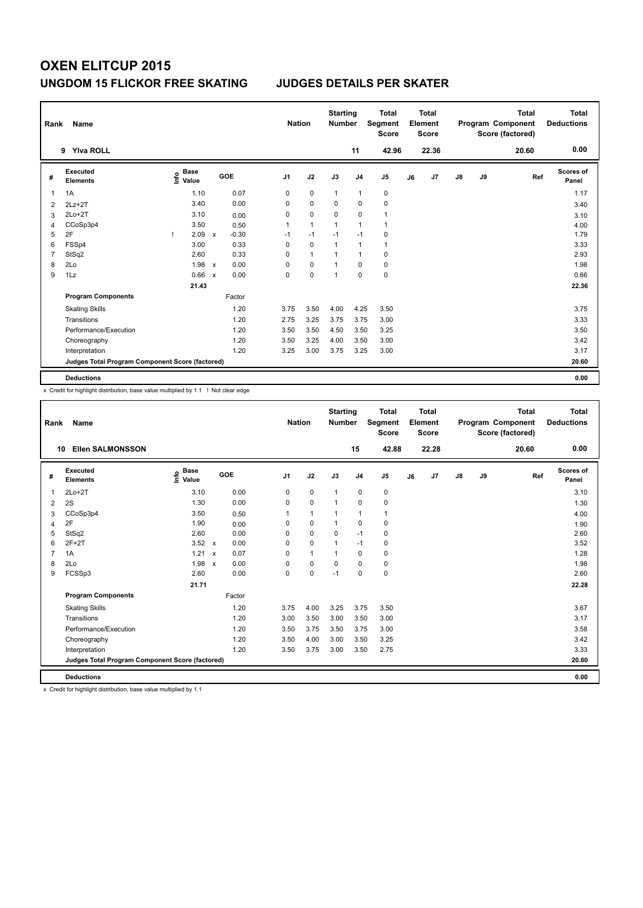| Rank           | Name                                            |                                  |              |            | <b>Nation</b>  |              | <b>Starting</b><br><b>Number</b> |                | <b>Total</b><br>Segment<br><b>Score</b> |    | <b>Total</b><br>Element<br><b>Score</b> |               |    | <b>Total</b><br>Program Component<br>Score (factored) | <b>Total</b><br><b>Deductions</b> |
|----------------|-------------------------------------------------|----------------------------------|--------------|------------|----------------|--------------|----------------------------------|----------------|-----------------------------------------|----|-----------------------------------------|---------------|----|-------------------------------------------------------|-----------------------------------|
|                | 9 Yiva ROLL                                     |                                  |              |            |                |              |                                  | 11             | 42.96                                   |    | 22.36                                   |               |    | 20.60                                                 | 0.00                              |
| #              | Executed<br><b>Elements</b>                     | <b>Base</b><br>e Base<br>⊆ Value |              | <b>GOE</b> | J <sub>1</sub> | J2           | J3                               | J <sub>4</sub> | J <sub>5</sub>                          | J6 | J7                                      | $\mathsf{J}8$ | J9 | Ref                                                   | Scores of<br>Panel                |
| 1              | 1A                                              | 1.10                             |              | 0.07       | 0              | $\mathbf 0$  | $\mathbf{1}$                     | $\overline{1}$ | 0                                       |    |                                         |               |    |                                                       | 1.17                              |
| $\overline{2}$ | $2Lz+2T$                                        | 3.40                             |              | 0.00       | 0              | $\mathbf 0$  | 0                                | 0              | $\mathbf 0$                             |    |                                         |               |    |                                                       | 3.40                              |
| 3              | $2Lo+2T$                                        | 3.10                             |              | 0.00       | 0              | $\mathbf 0$  | $\mathbf 0$                      | $\mathbf 0$    | $\mathbf{1}$                            |    |                                         |               |    |                                                       | 3.10                              |
| 4              | CCoSp3p4                                        | 3.50                             |              | 0.50       | 1              | $\mathbf{1}$ | 1                                | $\overline{1}$ | 1                                       |    |                                         |               |    |                                                       | 4.00                              |
| 5              | 2F                                              | 2.09                             | $\mathbf{x}$ | $-0.30$    | $-1$           | $-1$         | $-1$                             | $-1$           | 0                                       |    |                                         |               |    |                                                       | 1.79                              |
| 6              | FSSp4                                           | 3.00                             |              | 0.33       | 0              | $\mathbf 0$  | $\mathbf{1}$                     | $\overline{1}$ | $\mathbf{1}$                            |    |                                         |               |    |                                                       | 3.33                              |
| 7              | StSq2                                           | 2.60                             |              | 0.33       | 0              | $\mathbf{1}$ | 1                                | $\overline{1}$ | 0                                       |    |                                         |               |    |                                                       | 2.93                              |
| 8              | 2Lo                                             | 1.98                             | $\mathsf{x}$ | 0.00       | 0              | $\mathbf 0$  | 1                                | 0              | 0                                       |    |                                         |               |    |                                                       | 1.98                              |
| 9              | 1Lz                                             | 0.66                             | $\mathsf{x}$ | 0.00       | 0              | 0            | 1                                | $\mathbf 0$    | $\mathbf 0$                             |    |                                         |               |    |                                                       | 0.66                              |
|                |                                                 | 21.43                            |              |            |                |              |                                  |                |                                         |    |                                         |               |    |                                                       | 22.36                             |
|                | <b>Program Components</b>                       |                                  |              | Factor     |                |              |                                  |                |                                         |    |                                         |               |    |                                                       |                                   |
|                | <b>Skating Skills</b>                           |                                  |              | 1.20       | 3.75           | 3.50         | 4.00                             | 4.25           | 3.50                                    |    |                                         |               |    |                                                       | 3.75                              |
|                | Transitions                                     |                                  |              | 1.20       | 2.75           | 3.25         | 3.75                             | 3.75           | 3.00                                    |    |                                         |               |    |                                                       | 3.33                              |
|                | Performance/Execution                           |                                  |              | 1.20       | 3.50           | 3.50         | 4.50                             | 3.50           | 3.25                                    |    |                                         |               |    |                                                       | 3.50                              |
|                | Choreography                                    |                                  |              | 1.20       | 3.50           | 3.25         | 4.00                             | 3.50           | 3.00                                    |    |                                         |               |    |                                                       | 3.42                              |
|                | Interpretation                                  |                                  |              | 1.20       | 3.25           | 3.00         | 3.75                             | 3.25           | 3.00                                    |    |                                         |               |    |                                                       | 3.17                              |
|                | Judges Total Program Component Score (factored) |                                  |              |            |                |              |                                  |                |                                         |    |                                         |               |    |                                                       | 20.60                             |
|                | <b>Deductions</b>                               |                                  |              |            |                |              |                                  |                |                                         |    |                                         |               |    |                                                       | 0.00                              |

x Credit for highlight distribution, base value multiplied by 1.1 ! Not clear edge

| Rank           | <b>Name</b>                                     |                                    |                                   |                | <b>Nation</b> | <b>Starting</b><br><b>Number</b> |                | <b>Total</b><br>Segment<br><b>Score</b> |    | Total<br>Element<br><b>Score</b> |            |    | <b>Total</b><br>Program Component<br>Score (factored) | <b>Total</b><br><b>Deductions</b> |
|----------------|-------------------------------------------------|------------------------------------|-----------------------------------|----------------|---------------|----------------------------------|----------------|-----------------------------------------|----|----------------------------------|------------|----|-------------------------------------------------------|-----------------------------------|
| 10             | <b>Ellen SALMONSSON</b>                         |                                    |                                   |                |               |                                  | 15             | 42.88                                   |    | 22.28                            |            |    | 20.60                                                 | 0.00                              |
| #              | Executed<br><b>Elements</b>                     | <b>Base</b><br>$\frac{6}{5}$ Value | GOE                               | J <sub>1</sub> | J2            | J3                               | J <sub>4</sub> | J <sub>5</sub>                          | J6 | J7                               | ${\sf J8}$ | J9 | Ref                                                   | <b>Scores of</b><br>Panel         |
| $\mathbf 1$    | $2Lo+2T$                                        | 3.10                               | 0.00                              | $\mathbf 0$    | $\pmb{0}$     | $\mathbf{1}$                     | 0              | 0                                       |    |                                  |            |    |                                                       | 3.10                              |
| 2              | 2S                                              | 1.30                               | 0.00                              | 0              | $\mathbf 0$   | $\mathbf{1}$                     | 0              | 0                                       |    |                                  |            |    |                                                       | 1.30                              |
| 3              | CCoSp3p4                                        | 3.50                               | 0.50                              | 1              | $\mathbf{1}$  | $\mathbf{1}$                     | $\mathbf{1}$   | $\mathbf{1}$                            |    |                                  |            |    |                                                       | 4.00                              |
| 4              | 2F                                              | 1.90                               | 0.00                              | 0              | $\mathbf 0$   | $\mathbf{1}$                     | $\mathbf 0$    | $\mathbf 0$                             |    |                                  |            |    |                                                       | 1.90                              |
| 5              | StSq2                                           | 2.60                               | 0.00                              | 0              | $\mathbf 0$   | $\mathbf 0$                      | $-1$           | 0                                       |    |                                  |            |    |                                                       | 2.60                              |
| 6              | $2F+2T$                                         | $3.52 \times$                      | 0.00                              | $\Omega$       | $\mathbf 0$   | $\mathbf{1}$                     | $-1$           | 0                                       |    |                                  |            |    |                                                       | 3.52                              |
| $\overline{7}$ | 1A                                              | 1.21                               | 0.07<br>$\boldsymbol{\mathsf{x}}$ | 0              | $\mathbf{1}$  | 1                                | $\mathbf 0$    | $\mathbf 0$                             |    |                                  |            |    |                                                       | 1.28                              |
| 8              | 2Lo                                             | 1.98                               | 0.00<br>$\boldsymbol{\mathsf{x}}$ | 0              | $\mathbf 0$   | 0                                | $\mathbf 0$    | $\mathbf 0$                             |    |                                  |            |    |                                                       | 1.98                              |
| 9              | FCSSp3                                          | 2.60                               | 0.00                              | $\Omega$       | 0             | $-1$                             | $\Omega$       | $\mathbf 0$                             |    |                                  |            |    |                                                       | 2.60                              |
|                |                                                 | 21.71                              |                                   |                |               |                                  |                |                                         |    |                                  |            |    |                                                       | 22.28                             |
|                | <b>Program Components</b>                       |                                    | Factor                            |                |               |                                  |                |                                         |    |                                  |            |    |                                                       |                                   |
|                | <b>Skating Skills</b>                           |                                    | 1.20                              | 3.75           | 4.00          | 3.25                             | 3.75           | 3.50                                    |    |                                  |            |    |                                                       | 3.67                              |
|                | Transitions                                     |                                    | 1.20                              | 3.00           | 3.50          | 3.00                             | 3.50           | 3.00                                    |    |                                  |            |    |                                                       | 3.17                              |
|                | Performance/Execution                           |                                    | 1.20                              | 3.50           | 3.75          | 3.50                             | 3.75           | 3.00                                    |    |                                  |            |    |                                                       | 3.58                              |
|                | Choreography                                    |                                    | 1.20                              | 3.50           | 4.00          | 3.00                             | 3.50           | 3.25                                    |    |                                  |            |    |                                                       | 3.42                              |
|                | Interpretation                                  |                                    | 1.20                              | 3.50           | 3.75          | 3.00                             | 3.50           | 2.75                                    |    |                                  |            |    |                                                       | 3.33                              |
|                | Judges Total Program Component Score (factored) |                                    |                                   |                |               |                                  |                |                                         |    |                                  |            |    |                                                       | 20.60                             |
|                | <b>Deductions</b>                               |                                    |                                   |                |               |                                  |                |                                         |    |                                  |            |    |                                                       | 0.00                              |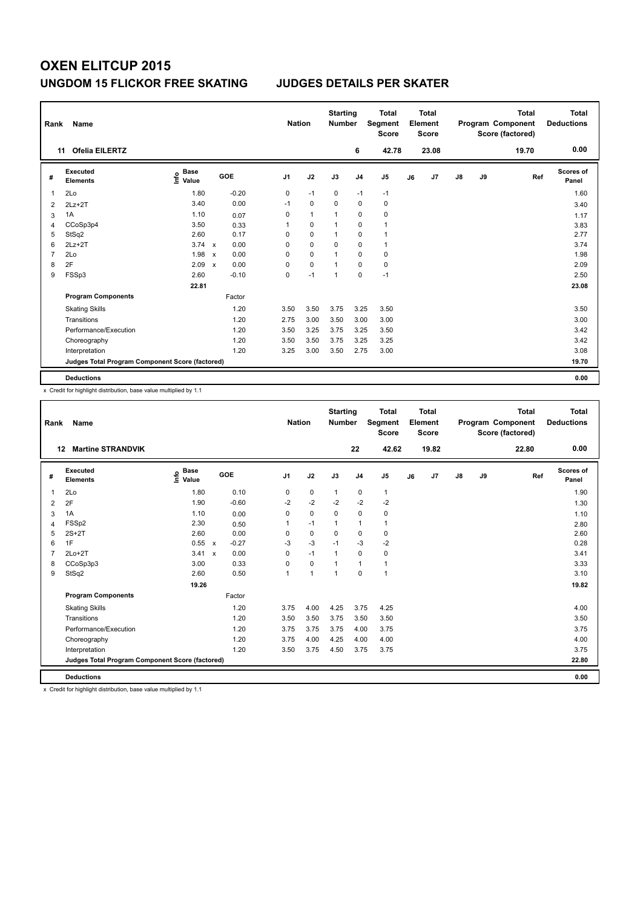| Rank           | Name                                            |                                  |              |         |                | <b>Nation</b> | <b>Starting</b><br><b>Number</b> |                | <b>Total</b><br>Segment<br><b>Score</b> |    | <b>Total</b><br>Element<br><b>Score</b> |               |    | <b>Total</b><br>Program Component<br>Score (factored) | <b>Total</b><br><b>Deductions</b> |
|----------------|-------------------------------------------------|----------------------------------|--------------|---------|----------------|---------------|----------------------------------|----------------|-----------------------------------------|----|-----------------------------------------|---------------|----|-------------------------------------------------------|-----------------------------------|
|                | <b>Ofelia EILERTZ</b><br>11                     |                                  |              |         |                |               |                                  | 6              | 42.78                                   |    | 23.08                                   |               |    | 19.70                                                 | 0.00                              |
| #              | Executed<br><b>Elements</b>                     | <b>Base</b><br>e Base<br>⊆ Value |              | GOE     | J <sub>1</sub> | J2            | J3                               | J <sub>4</sub> | J <sub>5</sub>                          | J6 | J7                                      | $\mathsf{J}8$ | J9 | Ref                                                   | Scores of<br>Panel                |
| 1              | 2Lo                                             | 1.80                             |              | $-0.20$ | 0              | $-1$          | 0                                | $-1$           | $-1$                                    |    |                                         |               |    |                                                       | 1.60                              |
| 2              | $2Lz+2T$                                        | 3.40                             |              | 0.00    | $-1$           | $\mathbf 0$   | $\Omega$                         | $\mathbf 0$    | $\mathbf 0$                             |    |                                         |               |    |                                                       | 3.40                              |
| 3              | 1A                                              | 1.10                             |              | 0.07    | 0              | $\mathbf{1}$  | 1                                | 0              | 0                                       |    |                                         |               |    |                                                       | 1.17                              |
| 4              | CCoSp3p4                                        | 3.50                             |              | 0.33    | 1              | $\mathbf 0$   | 1                                | $\mathbf 0$    | $\mathbf{1}$                            |    |                                         |               |    |                                                       | 3.83                              |
| 5              | StSq2                                           | 2.60                             |              | 0.17    | 0              | $\pmb{0}$     | 1                                | 0              | 1                                       |    |                                         |               |    |                                                       | 2.77                              |
| 6              | $2Lz+2T$                                        | 3.74                             | $\mathsf{x}$ | 0.00    | 0              | $\mathbf 0$   | 0                                | $\mathbf 0$    | 1                                       |    |                                         |               |    |                                                       | 3.74                              |
| $\overline{7}$ | 2Lo                                             | 1.98                             | $\mathsf{x}$ | 0.00    | 0              | $\mathbf 0$   | 1                                | $\mathbf 0$    | 0                                       |    |                                         |               |    |                                                       | 1.98                              |
| 8              | 2F                                              | 2.09                             | $\mathsf{x}$ | 0.00    | 0              | $\pmb{0}$     | 1                                | $\Omega$       | $\pmb{0}$                               |    |                                         |               |    |                                                       | 2.09                              |
| 9              | FSSp3                                           | 2.60                             |              | $-0.10$ | 0              | $-1$          | 1                                | 0              | $-1$                                    |    |                                         |               |    |                                                       | 2.50                              |
|                |                                                 | 22.81                            |              |         |                |               |                                  |                |                                         |    |                                         |               |    |                                                       | 23.08                             |
|                | <b>Program Components</b>                       |                                  |              | Factor  |                |               |                                  |                |                                         |    |                                         |               |    |                                                       |                                   |
|                | <b>Skating Skills</b>                           |                                  |              | 1.20    | 3.50           | 3.50          | 3.75                             | 3.25           | 3.50                                    |    |                                         |               |    |                                                       | 3.50                              |
|                | Transitions                                     |                                  |              | 1.20    | 2.75           | 3.00          | 3.50                             | 3.00           | 3.00                                    |    |                                         |               |    |                                                       | 3.00                              |
|                | Performance/Execution                           |                                  |              | 1.20    | 3.50           | 3.25          | 3.75                             | 3.25           | 3.50                                    |    |                                         |               |    |                                                       | 3.42                              |
|                | Choreography                                    |                                  |              | 1.20    | 3.50           | 3.50          | 3.75                             | 3.25           | 3.25                                    |    |                                         |               |    |                                                       | 3.42                              |
|                | Interpretation                                  |                                  |              | 1.20    | 3.25           | 3.00          | 3.50                             | 2.75           | 3.00                                    |    |                                         |               |    |                                                       | 3.08                              |
|                | Judges Total Program Component Score (factored) |                                  |              |         |                |               |                                  |                |                                         |    |                                         |               |    |                                                       | 19.70                             |
|                | <b>Deductions</b>                               |                                  |              |         |                |               |                                  |                |                                         |    |                                         |               |    |                                                       | 0.00                              |

x Credit for highlight distribution, base value multiplied by 1.1

| Rank           | <b>Name</b>                                     |                                    |                           |         |                | <b>Nation</b>        | <b>Starting</b><br><b>Number</b> |                | <b>Total</b><br>Segment<br><b>Score</b> |    | Total<br>Element<br><b>Score</b> |            |    | <b>Total</b><br>Program Component<br>Score (factored) | <b>Total</b><br><b>Deductions</b> |
|----------------|-------------------------------------------------|------------------------------------|---------------------------|---------|----------------|----------------------|----------------------------------|----------------|-----------------------------------------|----|----------------------------------|------------|----|-------------------------------------------------------|-----------------------------------|
|                | <b>Martine STRANDVIK</b><br>12                  |                                    |                           |         |                |                      |                                  | 22             | 42.62                                   |    | 19.82                            |            |    | 22.80                                                 | 0.00                              |
| #              | Executed<br><b>Elements</b>                     | <b>Base</b><br>$\frac{6}{5}$ Value |                           | GOE     | J <sub>1</sub> | J2                   | J3                               | J <sub>4</sub> | J <sub>5</sub>                          | J6 | J7                               | ${\sf J8}$ | J9 | Ref                                                   | <b>Scores of</b><br>Panel         |
| $\mathbf 1$    | 2Lo                                             | 1.80                               |                           | 0.10    | 0              | $\pmb{0}$            | $\mathbf{1}$                     | 0              | $\mathbf{1}$                            |    |                                  |            |    |                                                       | 1.90                              |
| 2              | 2F                                              | 1.90                               |                           | $-0.60$ | $-2$           | $-2$                 | $-2$                             | $-2$           | $-2$                                    |    |                                  |            |    |                                                       | 1.30                              |
| 3              | 1A                                              | 1.10                               |                           | 0.00    | 0              | $\mathbf 0$          | $\mathbf 0$                      | $\mathbf 0$    | $\mathbf 0$                             |    |                                  |            |    |                                                       | 1.10                              |
| 4              | FSSp2                                           | 2.30                               |                           | 0.50    | 1              | $-1$                 | $\mathbf{1}$                     | $\mathbf{1}$   | $\mathbf{1}$                            |    |                                  |            |    |                                                       | 2.80                              |
| 5              | $2S+2T$                                         | 2.60                               |                           | 0.00    | 0              | $\mathbf 0$          | $\mathbf 0$                      | $\mathbf 0$    | 0                                       |    |                                  |            |    |                                                       | 2.60                              |
| 6              | 1F                                              | 0.55                               | $\mathbf{x}$              | $-0.27$ | $-3$           | $-3$                 | $-1$                             | $-3$           | $-2$                                    |    |                                  |            |    |                                                       | 0.28                              |
| $\overline{7}$ | $2Lo+2T$                                        | 3.41                               | $\boldsymbol{\mathsf{x}}$ | 0.00    | 0              | $-1$                 | $\mathbf{1}$                     | $\mathbf 0$    | 0                                       |    |                                  |            |    |                                                       | 3.41                              |
| 8              | CCoSp3p3                                        | 3.00                               |                           | 0.33    | 0              | $\mathbf 0$          | $\overline{1}$                   | $\mathbf{1}$   | 1                                       |    |                                  |            |    |                                                       | 3.33                              |
| 9              | StSq2                                           | 2.60                               |                           | 0.50    |                | $\blacktriangleleft$ | $\overline{1}$                   | $\Omega$       | $\mathbf{1}$                            |    |                                  |            |    |                                                       | 3.10                              |
|                |                                                 | 19.26                              |                           |         |                |                      |                                  |                |                                         |    |                                  |            |    |                                                       | 19.82                             |
|                | <b>Program Components</b>                       |                                    |                           | Factor  |                |                      |                                  |                |                                         |    |                                  |            |    |                                                       |                                   |
|                | <b>Skating Skills</b>                           |                                    |                           | 1.20    | 3.75           | 4.00                 | 4.25                             | 3.75           | 4.25                                    |    |                                  |            |    |                                                       | 4.00                              |
|                | Transitions                                     |                                    |                           | 1.20    | 3.50           | 3.50                 | 3.75                             | 3.50           | 3.50                                    |    |                                  |            |    |                                                       | 3.50                              |
|                | Performance/Execution                           |                                    |                           | 1.20    | 3.75           | 3.75                 | 3.75                             | 4.00           | 3.75                                    |    |                                  |            |    |                                                       | 3.75                              |
|                | Choreography                                    |                                    |                           | 1.20    | 3.75           | 4.00                 | 4.25                             | 4.00           | 4.00                                    |    |                                  |            |    |                                                       | 4.00                              |
|                | Interpretation                                  |                                    |                           | 1.20    | 3.50           | 3.75                 | 4.50                             | 3.75           | 3.75                                    |    |                                  |            |    |                                                       | 3.75                              |
|                | Judges Total Program Component Score (factored) |                                    |                           |         |                |                      |                                  |                |                                         |    |                                  |            |    |                                                       | 22.80                             |
|                | <b>Deductions</b>                               |                                    |                           |         |                |                      |                                  |                |                                         |    |                                  |            |    |                                                       | 0.00                              |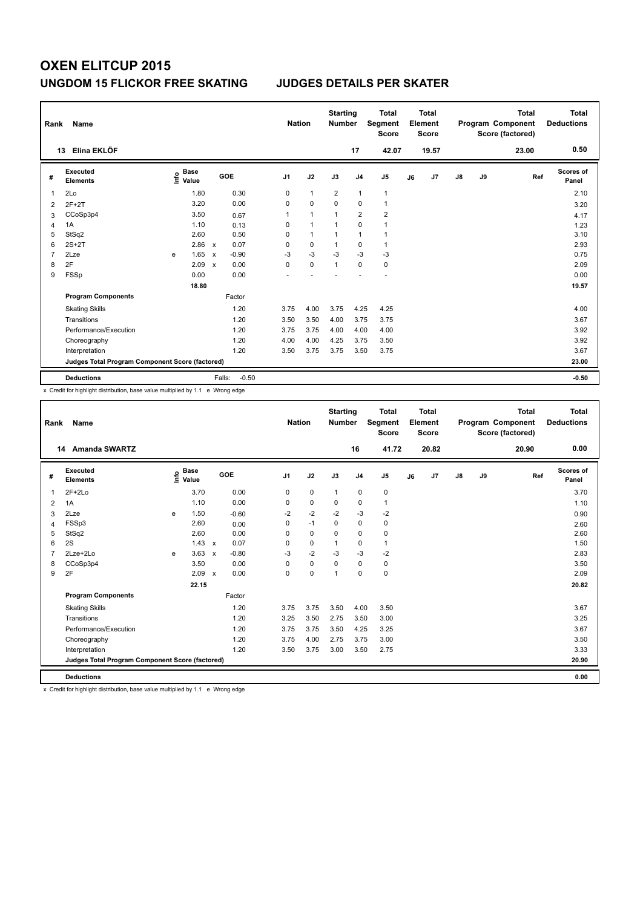| Rank           | Name                                            |   |                                  |              |            | <b>Nation</b>  |              | <b>Starting</b><br><b>Number</b> |                | <b>Total</b><br>Segment<br><b>Score</b> |    | <b>Total</b><br>Element<br><b>Score</b> |               |    | <b>Total</b><br>Program Component<br>Score (factored) | Total<br><b>Deductions</b> |
|----------------|-------------------------------------------------|---|----------------------------------|--------------|------------|----------------|--------------|----------------------------------|----------------|-----------------------------------------|----|-----------------------------------------|---------------|----|-------------------------------------------------------|----------------------------|
|                | Elina EKLÖF<br>13                               |   |                                  |              |            |                |              |                                  | 17             | 42.07                                   |    | 19.57                                   |               |    | 23.00                                                 | 0.50                       |
| #              | <b>Executed</b><br><b>Elements</b>              |   | <b>Base</b><br>e Base<br>E Value |              | <b>GOE</b> | J <sub>1</sub> | J2           | J3                               | J <sub>4</sub> | J <sub>5</sub>                          | J6 | J7                                      | $\mathsf{J}8$ | J9 | Ref                                                   | Scores of<br>Panel         |
| 1              | 2Lo                                             |   | 1.80                             |              | 0.30       | 0              | $\mathbf{1}$ | $\overline{2}$                   | $\overline{1}$ | $\mathbf{1}$                            |    |                                         |               |    |                                                       | 2.10                       |
| $\overline{2}$ | $2F+2T$                                         |   | 3.20                             |              | 0.00       | 0              | $\mathbf 0$  | $\Omega$                         | 0              | $\mathbf{1}$                            |    |                                         |               |    |                                                       | 3.20                       |
| 3              | CCoSp3p4                                        |   | 3.50                             |              | 0.67       | 1              | $\mathbf{1}$ | $\mathbf{1}$                     | $\overline{2}$ | $\overline{2}$                          |    |                                         |               |    |                                                       | 4.17                       |
| 4              | 1A                                              |   | 1.10                             |              | 0.13       | 0              | 1            | 1                                | $\Omega$       | 1                                       |    |                                         |               |    |                                                       | 1.23                       |
| 5              | StSq2                                           |   | 2.60                             |              | 0.50       | 0              | $\mathbf{1}$ | 1                                | $\overline{1}$ | 1                                       |    |                                         |               |    |                                                       | 3.10                       |
| 6              | $2S+2T$                                         |   | 2.86                             | $\mathsf{x}$ | 0.07       | 0              | $\mathbf 0$  | 1                                | 0              | $\overline{1}$                          |    |                                         |               |    |                                                       | 2.93                       |
| 7              | 2Lze                                            | e | 1.65                             | $\mathsf{x}$ | $-0.90$    | $-3$           | $-3$         | $-3$                             | $-3$           | $-3$                                    |    |                                         |               |    |                                                       | 0.75                       |
| 8              | 2F                                              |   | 2.09                             | $\mathbf x$  | 0.00       | 0              | $\mathbf 0$  | $\mathbf{1}$                     | $\Omega$       | 0                                       |    |                                         |               |    |                                                       | 2.09                       |
| 9              | <b>FSSp</b>                                     |   | 0.00                             |              | 0.00       |                |              |                                  |                |                                         |    |                                         |               |    |                                                       | 0.00                       |
|                |                                                 |   | 18.80                            |              |            |                |              |                                  |                |                                         |    |                                         |               |    |                                                       | 19.57                      |
|                | <b>Program Components</b>                       |   |                                  |              | Factor     |                |              |                                  |                |                                         |    |                                         |               |    |                                                       |                            |
|                | <b>Skating Skills</b>                           |   |                                  |              | 1.20       | 3.75           | 4.00         | 3.75                             | 4.25           | 4.25                                    |    |                                         |               |    |                                                       | 4.00                       |
|                | Transitions                                     |   |                                  |              | 1.20       | 3.50           | 3.50         | 4.00                             | 3.75           | 3.75                                    |    |                                         |               |    |                                                       | 3.67                       |
|                | Performance/Execution                           |   |                                  |              | 1.20       | 3.75           | 3.75         | 4.00                             | 4.00           | 4.00                                    |    |                                         |               |    |                                                       | 3.92                       |
|                | Choreography                                    |   |                                  |              | 1.20       | 4.00           | 4.00         | 4.25                             | 3.75           | 3.50                                    |    |                                         |               |    |                                                       | 3.92                       |
|                | Interpretation                                  |   |                                  |              | 1.20       | 3.50           | 3.75         | 3.75                             | 3.50           | 3.75                                    |    |                                         |               |    |                                                       | 3.67                       |
|                | Judges Total Program Component Score (factored) |   |                                  |              |            |                |              |                                  |                |                                         |    |                                         |               |    |                                                       | 23.00                      |
|                | <b>Deductions</b>                               |   |                                  | Falls:       | $-0.50$    |                |              |                                  |                |                                         |    |                                         |               |    |                                                       | $-0.50$                    |

x Credit for highlight distribution, base value multiplied by 1.1 e Wrong edge

| Rank           | <b>Name</b>                                     |   |                                    |                           |         | <b>Nation</b>  |             | <b>Starting</b><br><b>Number</b> |                | <b>Total</b><br>Segment<br><b>Score</b> |    | Total<br>Element<br><b>Score</b> |    |    | <b>Total</b><br>Program Component<br>Score (factored) | <b>Total</b><br><b>Deductions</b> |
|----------------|-------------------------------------------------|---|------------------------------------|---------------------------|---------|----------------|-------------|----------------------------------|----------------|-----------------------------------------|----|----------------------------------|----|----|-------------------------------------------------------|-----------------------------------|
|                | <b>Amanda SWARTZ</b><br>14                      |   |                                    |                           |         |                |             |                                  | 16             | 41.72                                   |    | 20.82                            |    |    | 20.90                                                 | 0.00                              |
| #              | Executed<br><b>Elements</b>                     |   | <b>Base</b><br>$\frac{6}{5}$ Value |                           | GOE     | J <sub>1</sub> | J2          | J3                               | J <sub>4</sub> | J <sub>5</sub>                          | J6 | J7                               | J8 | J9 | Ref                                                   | Scores of<br>Panel                |
| $\mathbf{1}$   | $2F+2Lo$                                        |   | 3.70                               |                           | 0.00    | 0              | $\mathbf 0$ | $\mathbf{1}$                     | $\mathbf 0$    | 0                                       |    |                                  |    |    |                                                       | 3.70                              |
| 2              | 1A                                              |   | 1.10                               |                           | 0.00    | 0              | $\mathbf 0$ | 0                                | $\mathbf 0$    | 1                                       |    |                                  |    |    |                                                       | 1.10                              |
| 3              | 2Lze                                            | e | 1.50                               |                           | $-0.60$ | $-2$           | $-2$        | $-2$                             | $-3$           | $-2$                                    |    |                                  |    |    |                                                       | 0.90                              |
| 4              | FSSp3                                           |   | 2.60                               |                           | 0.00    | 0              | $-1$        | $\Omega$                         | $\mathbf 0$    | $\mathbf 0$                             |    |                                  |    |    |                                                       | 2.60                              |
| 5              | StSq2                                           |   | 2.60                               |                           | 0.00    | $\Omega$       | $\mathbf 0$ | $\Omega$                         | $\mathbf 0$    | 0                                       |    |                                  |    |    |                                                       | 2.60                              |
| 6              | 2S                                              |   | 1.43                               | $\boldsymbol{\mathsf{x}}$ | 0.07    | 0              | $\mathbf 0$ | $\mathbf{1}$                     | 0              | 1                                       |    |                                  |    |    |                                                       | 1.50                              |
| $\overline{7}$ | 2Lze+2Lo                                        | e | 3.63                               | $\mathsf{x}$              | $-0.80$ | $-3$           | $-2$        | $-3$                             | $-3$           | $-2$                                    |    |                                  |    |    |                                                       | 2.83                              |
| 8              | CCoSp3p4                                        |   | 3.50                               |                           | 0.00    | $\Omega$       | $\mathbf 0$ | $\Omega$                         | $\mathbf 0$    | $\pmb{0}$                               |    |                                  |    |    |                                                       | 3.50                              |
| 9              | 2F                                              |   | 2.09                               | $\boldsymbol{\mathsf{x}}$ | 0.00    | 0              | $\mathbf 0$ | $\overline{1}$                   | $\mathbf 0$    | $\mathbf 0$                             |    |                                  |    |    |                                                       | 2.09                              |
|                |                                                 |   | 22.15                              |                           |         |                |             |                                  |                |                                         |    |                                  |    |    |                                                       | 20.82                             |
|                | <b>Program Components</b>                       |   |                                    |                           | Factor  |                |             |                                  |                |                                         |    |                                  |    |    |                                                       |                                   |
|                | <b>Skating Skills</b>                           |   |                                    |                           | 1.20    | 3.75           | 3.75        | 3.50                             | 4.00           | 3.50                                    |    |                                  |    |    |                                                       | 3.67                              |
|                | Transitions                                     |   |                                    |                           | 1.20    | 3.25           | 3.50        | 2.75                             | 3.50           | 3.00                                    |    |                                  |    |    |                                                       | 3.25                              |
|                | Performance/Execution                           |   |                                    |                           | 1.20    | 3.75           | 3.75        | 3.50                             | 4.25           | 3.25                                    |    |                                  |    |    |                                                       | 3.67                              |
|                | Choreography                                    |   |                                    |                           | 1.20    | 3.75           | 4.00        | 2.75                             | 3.75           | 3.00                                    |    |                                  |    |    |                                                       | 3.50                              |
|                | Interpretation                                  |   |                                    |                           | 1.20    | 3.50           | 3.75        | 3.00                             | 3.50           | 2.75                                    |    |                                  |    |    |                                                       | 3.33                              |
|                | Judges Total Program Component Score (factored) |   |                                    |                           |         |                |             |                                  |                |                                         |    |                                  |    |    |                                                       | 20.90                             |
|                | <b>Deductions</b>                               |   |                                    |                           |         |                |             |                                  |                |                                         |    |                                  |    |    |                                                       | 0.00                              |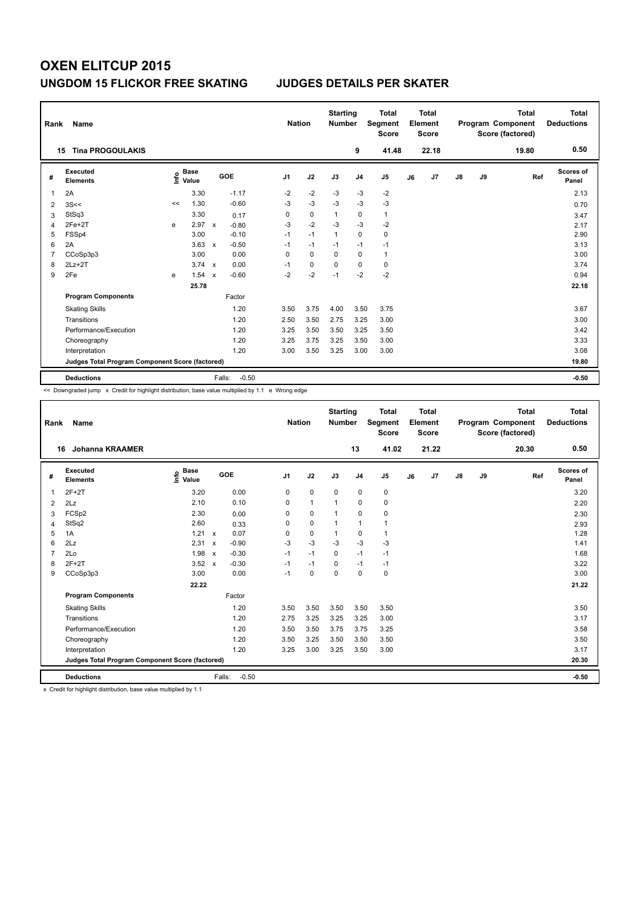| Rank           | Name                                            |      |                      |                           |                   | <b>Nation</b>  |             | <b>Starting</b><br><b>Number</b> |                | <b>Total</b><br>Segment<br><b>Score</b> |    | <b>Total</b><br>Element<br><b>Score</b> |               |    | <b>Total</b><br>Program Component<br>Score (factored) | Total<br><b>Deductions</b> |
|----------------|-------------------------------------------------|------|----------------------|---------------------------|-------------------|----------------|-------------|----------------------------------|----------------|-----------------------------------------|----|-----------------------------------------|---------------|----|-------------------------------------------------------|----------------------------|
|                | <b>Tina PROGOULAKIS</b><br>15                   |      |                      |                           |                   |                |             |                                  | 9              | 41.48                                   |    | 22.18                                   |               |    | 19.80                                                 | 0.50                       |
| #              | Executed<br><b>Elements</b>                     | lnfo | <b>Base</b><br>Value |                           | GOE               | J <sub>1</sub> | J2          | J3                               | J <sub>4</sub> | J <sub>5</sub>                          | J6 | J7                                      | $\mathsf{J}8$ | J9 | Ref                                                   | <b>Scores of</b><br>Panel  |
| 1              | 2A                                              |      | 3.30                 |                           | $-1.17$           | $-2$           | $-2$        | $-3$                             | -3             | $-2$                                    |    |                                         |               |    |                                                       | 2.13                       |
| 2              | 3S<<                                            | <<   | 1.30                 |                           | $-0.60$           | $-3$           | $-3$        | $-3$                             | $-3$           | $-3$                                    |    |                                         |               |    |                                                       | 0.70                       |
| 3              | StSq3                                           |      | 3.30                 |                           | 0.17              | 0              | $\mathbf 0$ | $\mathbf{1}$                     | $\pmb{0}$      | $\mathbf{1}$                            |    |                                         |               |    |                                                       | 3.47                       |
| 4              | $2Fe+2T$                                        | e    | 2.97                 | $\mathbf{x}$              | $-0.80$           | $-3$           | $-2$        | $-3$                             | $-3$           | $-2$                                    |    |                                         |               |    |                                                       | 2.17                       |
| 5              | FSSp4                                           |      | 3.00                 |                           | $-0.10$           | $-1$           | $-1$        | $\overline{1}$                   | $\mathbf 0$    | $\mathbf 0$                             |    |                                         |               |    |                                                       | 2.90                       |
| 6              | 2A                                              |      | 3.63                 | $\boldsymbol{\mathsf{x}}$ | $-0.50$           | $-1$           | $-1$        | $-1$                             | $-1$           | $-1$                                    |    |                                         |               |    |                                                       | 3.13                       |
| $\overline{7}$ | CCoSp3p3                                        |      | 3.00                 |                           | 0.00              | 0              | $\Omega$    | $\Omega$                         | 0              | $\mathbf{1}$                            |    |                                         |               |    |                                                       | 3.00                       |
| 8              | $2Lz+2T$                                        |      | 3.74                 | $\mathbf{x}$              | 0.00              | $-1$           | $\mathbf 0$ | $\Omega$                         | $\mathbf 0$    | 0                                       |    |                                         |               |    |                                                       | 3.74                       |
| 9              | 2Fe                                             | e    | 1.54                 | $\boldsymbol{\mathsf{x}}$ | $-0.60$           | $-2$           | $-2$        | $-1$                             | $-2$           | $-2$                                    |    |                                         |               |    |                                                       | 0.94                       |
|                |                                                 |      | 25.78                |                           |                   |                |             |                                  |                |                                         |    |                                         |               |    |                                                       | 22.18                      |
|                | <b>Program Components</b>                       |      |                      |                           | Factor            |                |             |                                  |                |                                         |    |                                         |               |    |                                                       |                            |
|                | <b>Skating Skills</b>                           |      |                      |                           | 1.20              | 3.50           | 3.75        | 4.00                             | 3.50           | 3.75                                    |    |                                         |               |    |                                                       | 3.67                       |
|                | Transitions                                     |      |                      |                           | 1.20              | 2.50           | 3.50        | 2.75                             | 3.25           | 3.00                                    |    |                                         |               |    |                                                       | 3.00                       |
|                | Performance/Execution                           |      |                      |                           | 1.20              | 3.25           | 3.50        | 3.50                             | 3.25           | 3.50                                    |    |                                         |               |    |                                                       | 3.42                       |
|                | Choreography                                    |      |                      |                           | 1.20              | 3.25           | 3.75        | 3.25                             | 3.50           | 3.00                                    |    |                                         |               |    |                                                       | 3.33                       |
|                | Interpretation                                  |      |                      |                           | 1.20              | 3.00           | 3.50        | 3.25                             | 3.00           | 3.00                                    |    |                                         |               |    |                                                       | 3.08                       |
|                | Judges Total Program Component Score (factored) |      |                      |                           |                   |                |             |                                  |                |                                         |    |                                         |               |    |                                                       | 19.80                      |
|                | <b>Deductions</b>                               |      |                      |                           | $-0.50$<br>Falls: |                |             |                                  |                |                                         |    |                                         |               |    |                                                       | $-0.50$                    |

<< Downgraded jump x Credit for highlight distribution, base value multiplied by 1.1 e Wrong edge

| Rank           | <b>Name</b>                                     |                                    |                           |         | <b>Nation</b>  |              | <b>Starting</b><br><b>Number</b> |                | <b>Total</b><br>Segment<br><b>Score</b> |    | <b>Total</b><br>Element<br><b>Score</b> |               |    | <b>Total</b><br>Program Component<br>Score (factored) | Total<br><b>Deductions</b> |
|----------------|-------------------------------------------------|------------------------------------|---------------------------|---------|----------------|--------------|----------------------------------|----------------|-----------------------------------------|----|-----------------------------------------|---------------|----|-------------------------------------------------------|----------------------------|
|                | <b>Johanna KRAAMER</b><br>16                    |                                    |                           |         |                |              |                                  | 13             | 41.02                                   |    | 21.22                                   |               |    | 20.30                                                 | 0.50                       |
| #              | <b>Executed</b><br><b>Elements</b>              | <b>Base</b><br>$\frac{6}{5}$ Value |                           | GOE     | J <sub>1</sub> | J2           | J3                               | J <sub>4</sub> | J <sub>5</sub>                          | J6 | J7                                      | $\mathsf{J}8$ | J9 | Ref                                                   | <b>Scores of</b><br>Panel  |
| $\mathbf{1}$   | $2F+2T$                                         | 3.20                               |                           | 0.00    | 0              | $\mathbf 0$  | $\mathbf 0$                      | $\mathbf 0$    | 0                                       |    |                                         |               |    |                                                       | 3.20                       |
| 2              | 2Lz                                             | 2.10                               |                           | 0.10    | $\Omega$       | $\mathbf{1}$ | $\mathbf{1}$                     | 0              | $\mathbf 0$                             |    |                                         |               |    |                                                       | 2.20                       |
| 3              | FCSp2                                           | 2.30                               |                           | 0.00    | $\Omega$       | $\mathbf 0$  | $\mathbf{1}$                     | $\mathbf 0$    | 0                                       |    |                                         |               |    |                                                       | 2.30                       |
| 4              | StSq2                                           | 2.60                               |                           | 0.33    | 0              | $\mathbf 0$  | $\mathbf{1}$                     | $\mathbf{1}$   | 1                                       |    |                                         |               |    |                                                       | 2.93                       |
| 5              | 1A                                              | 1.21                               | $\mathsf{x}$              | 0.07    | 0              | 0            | $\mathbf{1}$                     | 0              | 1                                       |    |                                         |               |    |                                                       | 1.28                       |
| 6              | 2Lz                                             | 2.31                               | $\mathbf{x}$              | $-0.90$ | $-3$           | $-3$         | $-3$                             | $-3$           | $-3$                                    |    |                                         |               |    |                                                       | 1.41                       |
| $\overline{7}$ | 2Lo                                             | 1.98                               | $\boldsymbol{\mathsf{x}}$ | $-0.30$ | $-1$           | $-1$         | $\mathbf 0$                      | $-1$           | $-1$                                    |    |                                         |               |    |                                                       | 1.68                       |
| 8              | $2F+2T$                                         | 3.52                               | $\boldsymbol{\mathsf{x}}$ | $-0.30$ | $-1$           | $-1$         | 0                                | $-1$           | $-1$                                    |    |                                         |               |    |                                                       | 3.22                       |
| 9              | CCoSp3p3                                        | 3.00                               |                           | 0.00    | $-1$           | 0            | $\Omega$                         | $\Omega$       | $\mathbf 0$                             |    |                                         |               |    |                                                       | 3.00                       |
|                |                                                 | 22.22                              |                           |         |                |              |                                  |                |                                         |    |                                         |               |    |                                                       | 21.22                      |
|                | <b>Program Components</b>                       |                                    |                           | Factor  |                |              |                                  |                |                                         |    |                                         |               |    |                                                       |                            |
|                | <b>Skating Skills</b>                           |                                    |                           | 1.20    | 3.50           | 3.50         | 3.50                             | 3.50           | 3.50                                    |    |                                         |               |    |                                                       | 3.50                       |
|                | Transitions                                     |                                    |                           | 1.20    | 2.75           | 3.25         | 3.25                             | 3.25           | 3.00                                    |    |                                         |               |    |                                                       | 3.17                       |
|                | Performance/Execution                           |                                    |                           | 1.20    | 3.50           | 3.50         | 3.75                             | 3.75           | 3.25                                    |    |                                         |               |    |                                                       | 3.58                       |
|                | Choreography                                    |                                    |                           | 1.20    | 3.50           | 3.25         | 3.50                             | 3.50           | 3.50                                    |    |                                         |               |    |                                                       | 3.50                       |
|                | Interpretation                                  |                                    |                           | 1.20    | 3.25           | 3.00         | 3.25                             | 3.50           | 3.00                                    |    |                                         |               |    |                                                       | 3.17                       |
|                | Judges Total Program Component Score (factored) |                                    |                           |         |                |              |                                  |                |                                         |    |                                         |               |    |                                                       | 20.30                      |
|                | <b>Deductions</b>                               |                                    | Falls:                    | $-0.50$ |                |              |                                  |                |                                         |    |                                         |               |    |                                                       | $-0.50$                    |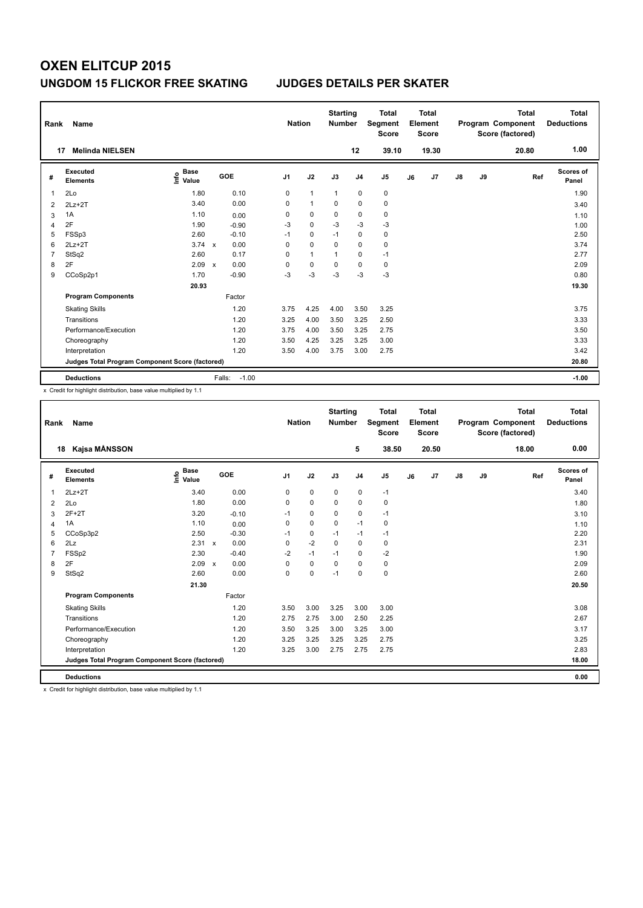| Rank           | Name                                            |                                  |              |                   | <b>Nation</b>  |              | <b>Starting</b><br><b>Number</b> |                | <b>Total</b><br>Segment<br><b>Score</b> |    | Total<br>Element<br><b>Score</b> |               |    | <b>Total</b><br>Program Component<br>Score (factored) | Total<br><b>Deductions</b> |
|----------------|-------------------------------------------------|----------------------------------|--------------|-------------------|----------------|--------------|----------------------------------|----------------|-----------------------------------------|----|----------------------------------|---------------|----|-------------------------------------------------------|----------------------------|
| 17             | <b>Melinda NIELSEN</b>                          |                                  |              |                   |                |              |                                  | 12             | 39.10                                   |    | 19.30                            |               |    | 20.80                                                 | 1.00                       |
| #              | Executed<br><b>Elements</b>                     | <b>Base</b><br>e Base<br>⊆ Value |              | <b>GOE</b>        | J <sub>1</sub> | J2           | J3                               | J <sub>4</sub> | J <sub>5</sub>                          | J6 | J7                               | $\mathsf{J}8$ | J9 | Ref                                                   | Scores of<br>Panel         |
| 1              | 2Lo                                             | 1.80                             |              | 0.10              | 0              | $\mathbf{1}$ | $\mathbf{1}$                     | $\mathbf 0$    | 0                                       |    |                                  |               |    |                                                       | 1.90                       |
| $\overline{2}$ | $2Lz+2T$                                        | 3.40                             |              | 0.00              | 0              | $\mathbf{1}$ | 0                                | $\mathbf 0$    | $\pmb{0}$                               |    |                                  |               |    |                                                       | 3.40                       |
| 3              | 1A                                              | 1.10                             |              | 0.00              | 0              | $\mathbf 0$  | 0                                | $\pmb{0}$      | 0                                       |    |                                  |               |    |                                                       | 1.10                       |
| $\overline{4}$ | 2F                                              | 1.90                             |              | $-0.90$           | $-3$           | $\mathbf 0$  | $-3$                             | $-3$           | $-3$                                    |    |                                  |               |    |                                                       | 1.00                       |
| 5              | FSSp3                                           | 2.60                             |              | $-0.10$           | $-1$           | $\Omega$     | $-1$                             | 0              | 0                                       |    |                                  |               |    |                                                       | 2.50                       |
| 6              | $2Lz+2T$                                        | 3.74                             | $\mathbf{x}$ | 0.00              | 0              | $\mathbf 0$  | 0                                | 0              | 0                                       |    |                                  |               |    |                                                       | 3.74                       |
| 7              | StSq2                                           | 2.60                             |              | 0.17              | 0              | $\mathbf{1}$ | 1                                | 0              | $-1$                                    |    |                                  |               |    |                                                       | 2.77                       |
| 8              | 2F                                              | 2.09                             | $\mathbf x$  | 0.00              | 0              | $\mathbf 0$  | 0                                | $\Omega$       | $\pmb{0}$                               |    |                                  |               |    |                                                       | 2.09                       |
| 9              | CCoSp2p1                                        | 1.70                             |              | $-0.90$           | $-3$           | $-3$         | $-3$                             | $-3$           | $-3$                                    |    |                                  |               |    |                                                       | 0.80                       |
|                |                                                 | 20.93                            |              |                   |                |              |                                  |                |                                         |    |                                  |               |    |                                                       | 19.30                      |
|                | <b>Program Components</b>                       |                                  |              | Factor            |                |              |                                  |                |                                         |    |                                  |               |    |                                                       |                            |
|                | <b>Skating Skills</b>                           |                                  |              | 1.20              | 3.75           | 4.25         | 4.00                             | 3.50           | 3.25                                    |    |                                  |               |    |                                                       | 3.75                       |
|                | Transitions                                     |                                  |              | 1.20              | 3.25           | 4.00         | 3.50                             | 3.25           | 2.50                                    |    |                                  |               |    |                                                       | 3.33                       |
|                | Performance/Execution                           |                                  |              | 1.20              | 3.75           | 4.00         | 3.50                             | 3.25           | 2.75                                    |    |                                  |               |    |                                                       | 3.50                       |
|                | Choreography                                    |                                  |              | 1.20              | 3.50           | 4.25         | 3.25                             | 3.25           | 3.00                                    |    |                                  |               |    |                                                       | 3.33                       |
|                | Interpretation                                  |                                  |              | 1.20              | 3.50           | 4.00         | 3.75                             | 3.00           | 2.75                                    |    |                                  |               |    |                                                       | 3.42                       |
|                | Judges Total Program Component Score (factored) |                                  |              |                   |                |              |                                  |                |                                         |    |                                  |               |    |                                                       | 20.80                      |
|                | <b>Deductions</b>                               |                                  |              | $-1.00$<br>Falls: |                |              |                                  |                |                                         |    |                                  |               |    |                                                       | $-1.00$                    |

x Credit for highlight distribution, base value multiplied by 1.1

| Rank           | <b>Name</b>                                     |                                  |                                   | <b>Nation</b>  |             | <b>Starting</b><br><b>Number</b> |                | <b>Total</b><br>Segment<br><b>Score</b> |    | Total<br>Element<br><b>Score</b> |               |    | <b>Total</b><br>Program Component<br>Score (factored) | <b>Total</b><br><b>Deductions</b> |
|----------------|-------------------------------------------------|----------------------------------|-----------------------------------|----------------|-------------|----------------------------------|----------------|-----------------------------------------|----|----------------------------------|---------------|----|-------------------------------------------------------|-----------------------------------|
|                | Kajsa MÅNSSON<br>18                             |                                  |                                   |                |             |                                  | 5              | 38.50                                   |    | 20.50                            |               |    | 18.00                                                 | 0.00                              |
| #              | Executed<br><b>Elements</b>                     | <b>Base</b><br>e Base<br>⊆ Value | GOE                               | J <sub>1</sub> | J2          | J3                               | J <sub>4</sub> | J <sub>5</sub>                          | J6 | J7                               | $\mathsf{J}8$ | J9 | Ref                                                   | <b>Scores of</b><br>Panel         |
| $\mathbf 1$    | $2Lz+2T$                                        | 3.40                             | 0.00                              | 0              | $\pmb{0}$   | $\mathbf 0$                      | 0              | $-1$                                    |    |                                  |               |    |                                                       | 3.40                              |
| 2              | 2Lo                                             | 1.80                             | 0.00                              | 0              | 0           | 0                                | 0              | 0                                       |    |                                  |               |    |                                                       | 1.80                              |
| 3              | $2F+2T$                                         | 3.20                             | $-0.10$                           | $-1$           | $\mathbf 0$ | 0                                | $\mathbf 0$    | $-1$                                    |    |                                  |               |    |                                                       | 3.10                              |
| 4              | 1A                                              | 1.10                             | 0.00                              | 0              | $\mathbf 0$ | $\mathbf 0$                      | $-1$           | $\mathbf 0$                             |    |                                  |               |    |                                                       | 1.10                              |
| 5              | CCoSp3p2                                        | 2.50                             | $-0.30$                           | $-1$           | $\pmb{0}$   | $-1$                             | $-1$           | $-1$                                    |    |                                  |               |    |                                                       | 2.20                              |
| 6              | 2Lz                                             | $2.31 \times$                    | 0.00                              | 0              | $-2$        | $\Omega$                         | $\mathbf 0$    | 0                                       |    |                                  |               |    |                                                       | 2.31                              |
| $\overline{7}$ | FSSp2                                           | 2.30                             | $-0.40$                           | $-2$           | $-1$        | $-1$                             | $\mathbf 0$    | $-2$                                    |    |                                  |               |    |                                                       | 1.90                              |
| 8              | 2F                                              | 2.09                             | 0.00<br>$\boldsymbol{\mathsf{x}}$ | 0              | $\mathbf 0$ | $\mathbf 0$                      | $\mathbf 0$    | 0                                       |    |                                  |               |    |                                                       | 2.09                              |
| 9              | StSq2                                           | 2.60                             | 0.00                              | $\Omega$       | 0           | $-1$                             | 0              | $\mathbf 0$                             |    |                                  |               |    |                                                       | 2.60                              |
|                |                                                 | 21.30                            |                                   |                |             |                                  |                |                                         |    |                                  |               |    |                                                       | 20.50                             |
|                | <b>Program Components</b>                       |                                  | Factor                            |                |             |                                  |                |                                         |    |                                  |               |    |                                                       |                                   |
|                | <b>Skating Skills</b>                           |                                  | 1.20                              | 3.50           | 3.00        | 3.25                             | 3.00           | 3.00                                    |    |                                  |               |    |                                                       | 3.08                              |
|                | Transitions                                     |                                  | 1.20                              | 2.75           | 2.75        | 3.00                             | 2.50           | 2.25                                    |    |                                  |               |    |                                                       | 2.67                              |
|                | Performance/Execution                           |                                  | 1.20                              | 3.50           | 3.25        | 3.00                             | 3.25           | 3.00                                    |    |                                  |               |    |                                                       | 3.17                              |
|                | Choreography                                    |                                  | 1.20                              | 3.25           | 3.25        | 3.25                             | 3.25           | 2.75                                    |    |                                  |               |    |                                                       | 3.25                              |
|                | Interpretation                                  |                                  | 1.20                              | 3.25           | 3.00        | 2.75                             | 2.75           | 2.75                                    |    |                                  |               |    |                                                       | 2.83                              |
|                | Judges Total Program Component Score (factored) |                                  |                                   |                |             |                                  |                |                                         |    |                                  |               |    |                                                       | 18.00                             |
|                | <b>Deductions</b>                               |                                  |                                   |                |             |                                  |                |                                         |    |                                  |               |    |                                                       | 0.00                              |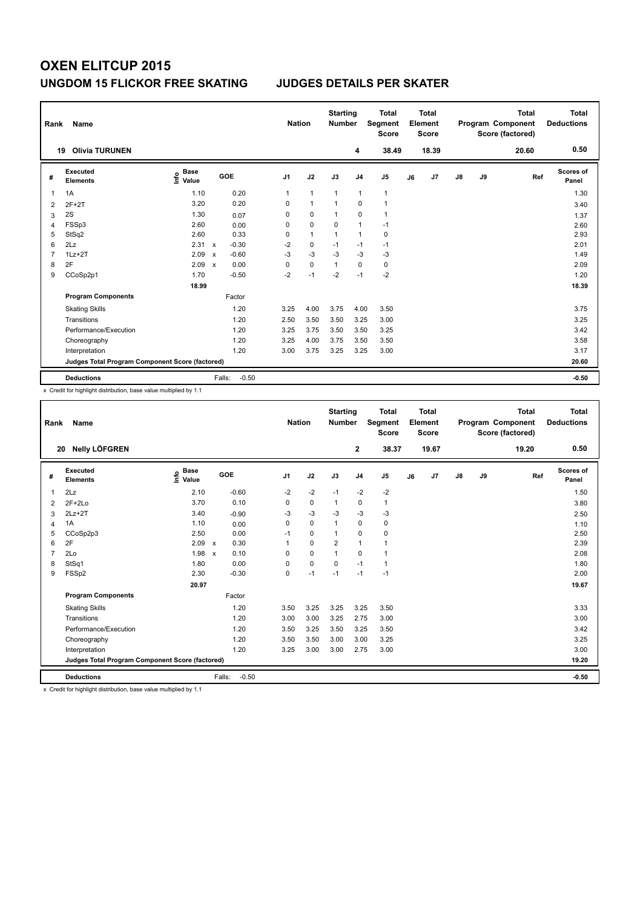| Rank           | Name                                            |                                  |                           |                   | <b>Nation</b>  |              | <b>Starting</b><br><b>Number</b> |                | <b>Total</b><br>Segment<br><b>Score</b> |    | Total<br>Element<br><b>Score</b> |               |    | <b>Total</b><br>Program Component<br>Score (factored) | Total<br><b>Deductions</b> |
|----------------|-------------------------------------------------|----------------------------------|---------------------------|-------------------|----------------|--------------|----------------------------------|----------------|-----------------------------------------|----|----------------------------------|---------------|----|-------------------------------------------------------|----------------------------|
| 19             | <b>Olivia TURUNEN</b>                           |                                  |                           |                   |                |              |                                  | 4              | 38.49                                   |    | 18.39                            |               |    | 20.60                                                 | 0.50                       |
| #              | Executed<br><b>Elements</b>                     | <b>Base</b><br>e Base<br>⊆ Value |                           | <b>GOE</b>        | J <sub>1</sub> | J2           | J3                               | J <sub>4</sub> | J <sub>5</sub>                          | J6 | J7                               | $\mathsf{J}8$ | J9 | Ref                                                   | Scores of<br>Panel         |
| 1              | 1A                                              | 1.10                             |                           | 0.20              | 1              | $\mathbf{1}$ | 1                                | $\mathbf{1}$   | $\mathbf{1}$                            |    |                                  |               |    |                                                       | 1.30                       |
| $\overline{2}$ | $2F+2T$                                         | 3.20                             |                           | 0.20              | 0              | $\mathbf{1}$ | 1                                | $\mathbf 0$    | $\mathbf{1}$                            |    |                                  |               |    |                                                       | 3.40                       |
| 3              | 2S                                              | 1.30                             |                           | 0.07              | 0              | $\mathbf 0$  | $\overline{1}$                   | $\mathbf 0$    | $\mathbf{1}$                            |    |                                  |               |    |                                                       | 1.37                       |
| 4              | FSSp3                                           | 2.60                             |                           | 0.00              | 0              | $\mathbf 0$  | $\Omega$                         | $\overline{1}$ | $-1$                                    |    |                                  |               |    |                                                       | 2.60                       |
| 5              | StSq2                                           | 2.60                             |                           | 0.33              | 0              | $\mathbf{1}$ | 1                                | $\overline{1}$ | 0                                       |    |                                  |               |    |                                                       | 2.93                       |
| 6              | 2Lz                                             | 2.31                             | $\mathsf{x}$              | $-0.30$           | $-2$           | 0            | $-1$                             | $-1$           | $-1$                                    |    |                                  |               |    |                                                       | 2.01                       |
| 7              | $1Lz + 2T$                                      | 2.09                             | $\boldsymbol{\mathsf{x}}$ | $-0.60$           | $-3$           | $-3$         | $-3$                             | $-3$           | $-3$                                    |    |                                  |               |    |                                                       | 1.49                       |
| 8              | 2F                                              | 2.09                             | $\mathbf x$               | 0.00              | 0              | $\mathbf 0$  | $\mathbf{1}$                     | $\Omega$       | $\pmb{0}$                               |    |                                  |               |    |                                                       | 2.09                       |
| 9              | CCoSp2p1                                        | 1.70                             |                           | $-0.50$           | $-2$           | $-1$         | $-2$                             | $-1$           | $-2$                                    |    |                                  |               |    |                                                       | 1.20                       |
|                |                                                 | 18.99                            |                           |                   |                |              |                                  |                |                                         |    |                                  |               |    |                                                       | 18.39                      |
|                | <b>Program Components</b>                       |                                  |                           | Factor            |                |              |                                  |                |                                         |    |                                  |               |    |                                                       |                            |
|                | <b>Skating Skills</b>                           |                                  |                           | 1.20              | 3.25           | 4.00         | 3.75                             | 4.00           | 3.50                                    |    |                                  |               |    |                                                       | 3.75                       |
|                | Transitions                                     |                                  |                           | 1.20              | 2.50           | 3.50         | 3.50                             | 3.25           | 3.00                                    |    |                                  |               |    |                                                       | 3.25                       |
|                | Performance/Execution                           |                                  |                           | 1.20              | 3.25           | 3.75         | 3.50                             | 3.50           | 3.25                                    |    |                                  |               |    |                                                       | 3.42                       |
|                | Choreography                                    |                                  |                           | 1.20              | 3.25           | 4.00         | 3.75                             | 3.50           | 3.50                                    |    |                                  |               |    |                                                       | 3.58                       |
|                | Interpretation                                  |                                  |                           | 1.20              | 3.00           | 3.75         | 3.25                             | 3.25           | 3.00                                    |    |                                  |               |    |                                                       | 3.17                       |
|                | Judges Total Program Component Score (factored) |                                  |                           |                   |                |              |                                  |                |                                         |    |                                  |               |    |                                                       | 20.60                      |
|                | <b>Deductions</b>                               |                                  |                           | $-0.50$<br>Falls: |                |              |                                  |                |                                         |    |                                  |               |    |                                                       | $-0.50$                    |

x Credit for highlight distribution, base value multiplied by 1.1

| Rank           | <b>Name</b>                                     |                                  |                                   | <b>Nation</b>  |             | <b>Starting</b><br><b>Number</b> |                         | <b>Total</b><br>Segment<br><b>Score</b> |    | Total<br>Element<br><b>Score</b> |            |    | <b>Total</b><br>Program Component<br>Score (factored) | <b>Total</b><br><b>Deductions</b> |
|----------------|-------------------------------------------------|----------------------------------|-----------------------------------|----------------|-------------|----------------------------------|-------------------------|-----------------------------------------|----|----------------------------------|------------|----|-------------------------------------------------------|-----------------------------------|
| 20             | <b>Nelly LÖFGREN</b>                            |                                  |                                   |                |             |                                  | $\overline{\mathbf{2}}$ | 38.37                                   |    | 19.67                            |            |    | 19.20                                                 | 0.50                              |
| #              | Executed<br><b>Elements</b>                     | <b>Base</b><br>e Base<br>⊆ Value | GOE                               | J <sub>1</sub> | J2          | J3                               | J <sub>4</sub>          | J <sub>5</sub>                          | J6 | J7                               | ${\sf J8}$ | J9 | Ref                                                   | <b>Scores of</b><br>Panel         |
| $\mathbf 1$    | 2Lz                                             | 2.10                             | $-0.60$                           | $-2$           | $-2$        | $-1$                             | $-2$                    | $-2$                                    |    |                                  |            |    |                                                       | 1.50                              |
| 2              | $2F+2Lo$                                        | 3.70                             | 0.10                              | 0              | 0           | $\mathbf{1}$                     | 0                       | 1                                       |    |                                  |            |    |                                                       | 3.80                              |
| 3              | $2Lz+2T$                                        | 3.40                             | $-0.90$                           | $-3$           | $-3$        | $-3$                             | $-3$                    | $-3$                                    |    |                                  |            |    |                                                       | 2.50                              |
| 4              | 1A                                              | 1.10                             | 0.00                              | 0              | $\mathbf 0$ | $\mathbf{1}$                     | $\mathbf 0$             | $\mathbf 0$                             |    |                                  |            |    |                                                       | 1.10                              |
| 5              | CCoSp2p3                                        | 2.50                             | 0.00                              | $-1$           | $\mathbf 0$ | $\mathbf{1}$                     | $\mathbf 0$             | 0                                       |    |                                  |            |    |                                                       | 2.50                              |
| 6              | 2F                                              | 2.09                             | 0.30<br>$\mathbf{x}$              | 1              | $\mathbf 0$ | 2                                | $\mathbf{1}$            | 1                                       |    |                                  |            |    |                                                       | 2.39                              |
| $\overline{7}$ | 2Lo                                             | 1.98                             | 0.10<br>$\boldsymbol{\mathsf{x}}$ | 0              | $\mathbf 0$ | $\mathbf{1}$                     | $\mathbf 0$             | 1                                       |    |                                  |            |    |                                                       | 2.08                              |
| 8              | StSq1                                           | 1.80                             | 0.00                              | 0              | $\mathbf 0$ | $\mathbf 0$                      | $-1$                    | $\mathbf{1}$                            |    |                                  |            |    |                                                       | 1.80                              |
| 9              | FSSp2                                           | 2.30                             | $-0.30$                           | 0              | $-1$        | $-1$                             | $-1$                    | $-1$                                    |    |                                  |            |    |                                                       | 2.00                              |
|                |                                                 | 20.97                            |                                   |                |             |                                  |                         |                                         |    |                                  |            |    |                                                       | 19.67                             |
|                | <b>Program Components</b>                       |                                  | Factor                            |                |             |                                  |                         |                                         |    |                                  |            |    |                                                       |                                   |
|                | <b>Skating Skills</b>                           |                                  | 1.20                              | 3.50           | 3.25        | 3.25                             | 3.25                    | 3.50                                    |    |                                  |            |    |                                                       | 3.33                              |
|                | Transitions                                     |                                  | 1.20                              | 3.00           | 3.00        | 3.25                             | 2.75                    | 3.00                                    |    |                                  |            |    |                                                       | 3.00                              |
|                | Performance/Execution                           |                                  | 1.20                              | 3.50           | 3.25        | 3.50                             | 3.25                    | 3.50                                    |    |                                  |            |    |                                                       | 3.42                              |
|                | Choreography                                    |                                  | 1.20                              | 3.50           | 3.50        | 3.00                             | 3.00                    | 3.25                                    |    |                                  |            |    |                                                       | 3.25                              |
|                | Interpretation                                  |                                  | 1.20                              | 3.25           | 3.00        | 3.00                             | 2.75                    | 3.00                                    |    |                                  |            |    |                                                       | 3.00                              |
|                | Judges Total Program Component Score (factored) |                                  |                                   |                |             |                                  |                         |                                         |    |                                  |            |    |                                                       | 19.20                             |
|                | <b>Deductions</b>                               |                                  | $-0.50$<br>Falls:                 |                |             |                                  |                         |                                         |    |                                  |            |    |                                                       | $-0.50$                           |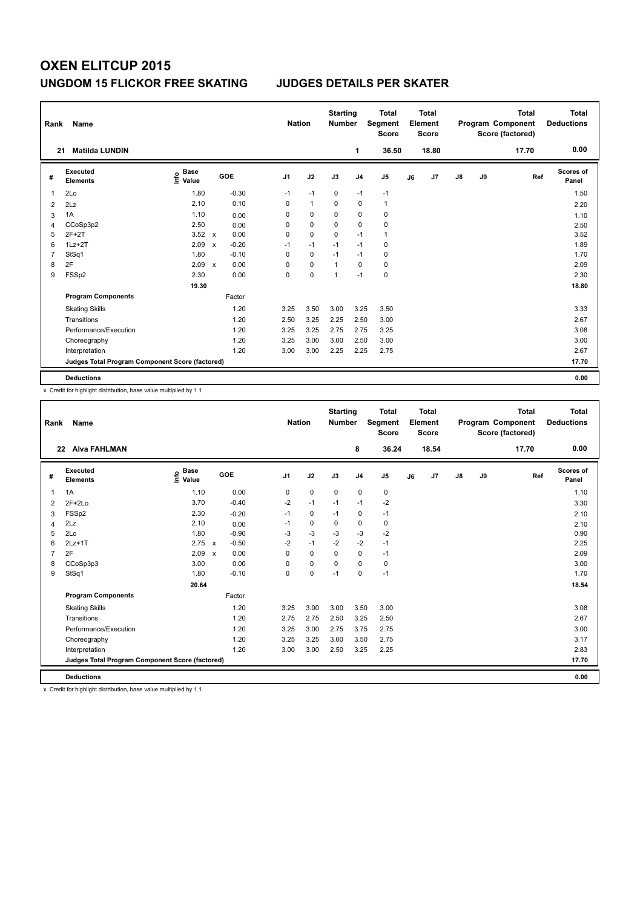| Rank           | Name                                            |                                  |              |            |                | <b>Nation</b>  | <b>Starting</b><br><b>Number</b> |                | <b>Total</b><br>Segment<br><b>Score</b> |    | <b>Total</b><br>Element<br><b>Score</b> |               |    | <b>Total</b><br>Program Component<br>Score (factored) | <b>Total</b><br><b>Deductions</b> |
|----------------|-------------------------------------------------|----------------------------------|--------------|------------|----------------|----------------|----------------------------------|----------------|-----------------------------------------|----|-----------------------------------------|---------------|----|-------------------------------------------------------|-----------------------------------|
| 21             | <b>Matilda LUNDIN</b>                           |                                  |              |            |                |                |                                  | 1              | 36.50                                   |    | 18.80                                   |               |    | 17.70                                                 | 0.00                              |
| #              | Executed<br><b>Elements</b>                     | <b>Base</b><br>e Base<br>E Value |              | <b>GOE</b> | J <sub>1</sub> | J2             | J3                               | J <sub>4</sub> | J <sub>5</sub>                          | J6 | J <sub>7</sub>                          | $\mathsf{J}8$ | J9 | Ref                                                   | <b>Scores of</b><br>Panel         |
| -1             | 2Lo                                             | 1.80                             |              | $-0.30$    | $-1$           | $-1$           | $\mathbf 0$                      | $-1$           | $-1$                                    |    |                                         |               |    |                                                       | 1.50                              |
| $\overline{2}$ | 2Lz                                             | 2.10                             |              | 0.10       | 0              | $\overline{1}$ | $\Omega$                         | 0              | $\mathbf{1}$                            |    |                                         |               |    |                                                       | 2.20                              |
| 3              | 1A                                              | 1.10                             |              | 0.00       | 0              | $\mathbf 0$    | $\Omega$                         | 0              | $\pmb{0}$                               |    |                                         |               |    |                                                       | 1.10                              |
| 4              | CCoSp3p2                                        | 2.50                             |              | 0.00       | 0              | $\mathbf 0$    | $\mathbf 0$                      | $\mathbf 0$    | $\pmb{0}$                               |    |                                         |               |    |                                                       | 2.50                              |
| 5              | $2F+2T$                                         | 3.52                             | $\mathsf{x}$ | 0.00       | 0              | $\mathbf 0$    | $\mathbf 0$                      | $-1$           | $\mathbf{1}$                            |    |                                         |               |    |                                                       | 3.52                              |
| 6              | $1Lz + 2T$                                      | 2.09                             | $\mathsf{x}$ | $-0.20$    | $-1$           | $-1$           | $-1$                             | $-1$           | 0                                       |    |                                         |               |    |                                                       | 1.89                              |
| 7              | StSq1                                           | 1.80                             |              | $-0.10$    | 0              | $\mathbf 0$    | $-1$                             | $-1$           | $\pmb{0}$                               |    |                                         |               |    |                                                       | 1.70                              |
| 8              | 2F                                              | 2.09                             | $\mathsf{x}$ | 0.00       | 0              | $\mathbf 0$    | $\mathbf{1}$                     | 0              | 0                                       |    |                                         |               |    |                                                       | 2.09                              |
| 9              | FSSp2                                           | 2.30                             |              | 0.00       | 0              | $\mathbf 0$    | 1                                | $-1$           | $\pmb{0}$                               |    |                                         |               |    |                                                       | 2.30                              |
|                |                                                 | 19.30                            |              |            |                |                |                                  |                |                                         |    |                                         |               |    |                                                       | 18.80                             |
|                | <b>Program Components</b>                       |                                  |              | Factor     |                |                |                                  |                |                                         |    |                                         |               |    |                                                       |                                   |
|                | <b>Skating Skills</b>                           |                                  |              | 1.20       | 3.25           | 3.50           | 3.00                             | 3.25           | 3.50                                    |    |                                         |               |    |                                                       | 3.33                              |
|                | Transitions                                     |                                  |              | 1.20       | 2.50           | 3.25           | 2.25                             | 2.50           | 3.00                                    |    |                                         |               |    |                                                       | 2.67                              |
|                | Performance/Execution                           |                                  |              | 1.20       | 3.25           | 3.25           | 2.75                             | 2.75           | 3.25                                    |    |                                         |               |    |                                                       | 3.08                              |
|                | Choreography                                    |                                  |              | 1.20       | 3.25           | 3.00           | 3.00                             | 2.50           | 3.00                                    |    |                                         |               |    |                                                       | 3.00                              |
|                | Interpretation                                  |                                  |              | 1.20       | 3.00           | 3.00           | 2.25                             | 2.25           | 2.75                                    |    |                                         |               |    |                                                       | 2.67                              |
|                | Judges Total Program Component Score (factored) |                                  |              |            |                |                |                                  |                |                                         |    |                                         |               |    |                                                       | 17.70                             |
|                | <b>Deductions</b>                               |                                  |              |            |                |                |                                  |                |                                         |    |                                         |               |    |                                                       | 0.00                              |

x Credit for highlight distribution, base value multiplied by 1.1

| Rank           | Name                                            |                                  |                                   | <b>Nation</b>  |             | <b>Starting</b><br><b>Number</b> |                | <b>Total</b><br>Segment<br><b>Score</b> |    | Total<br>Element<br><b>Score</b> |               |    | Total<br>Program Component<br>Score (factored) | Total<br><b>Deductions</b> |
|----------------|-------------------------------------------------|----------------------------------|-----------------------------------|----------------|-------------|----------------------------------|----------------|-----------------------------------------|----|----------------------------------|---------------|----|------------------------------------------------|----------------------------|
|                | <b>Alva FAHLMAN</b><br>22                       |                                  |                                   |                |             |                                  | 8              | 36.24                                   |    | 18.54                            |               |    | 17.70                                          | 0.00                       |
| #              | Executed<br><b>Elements</b>                     | <b>Base</b><br>e Base<br>⊆ Value | GOE                               | J <sub>1</sub> | J2          | J3                               | J <sub>4</sub> | J <sub>5</sub>                          | J6 | J7                               | $\mathsf{J}8$ | J9 | Ref                                            | <b>Scores of</b><br>Panel  |
| $\mathbf{1}$   | 1A                                              | 1.10                             | 0.00                              | 0              | $\mathbf 0$ | $\mathbf 0$                      | $\mathbf 0$    | $\mathbf 0$                             |    |                                  |               |    |                                                | 1.10                       |
| 2              | $2F+2Lo$                                        | 3.70                             | $-0.40$                           | $-2$           | $-1$        | $-1$                             | $-1$           | $-2$                                    |    |                                  |               |    |                                                | 3.30                       |
| 3              | FSSp2                                           | 2.30                             | $-0.20$                           | $-1$           | $\mathbf 0$ | $-1$                             | $\mathbf 0$    | $-1$                                    |    |                                  |               |    |                                                | 2.10                       |
| $\overline{4}$ | 2Lz                                             | 2.10                             | 0.00                              | $-1$           | $\mathbf 0$ | 0                                | $\mathbf 0$    | 0                                       |    |                                  |               |    |                                                | 2.10                       |
| 5              | 2Lo                                             | 1.80                             | $-0.90$                           | $-3$           | $-3$        | $-3$                             | $-3$           | $-2$                                    |    |                                  |               |    |                                                | 0.90                       |
| 6              | $2Lz+1T$                                        | 2.75                             | $-0.50$<br>$\mathsf{x}$           | $-2$           | $-1$        | $-2$                             | $-2$           | $-1$                                    |    |                                  |               |    |                                                | 2.25                       |
| $\overline{7}$ | 2F                                              | 2.09                             | 0.00<br>$\boldsymbol{\mathsf{x}}$ | 0              | $\mathbf 0$ | $\mathbf 0$                      | 0              | $-1$                                    |    |                                  |               |    |                                                | 2.09                       |
| 8              | CCoSp3p3                                        | 3.00                             | 0.00                              | $\Omega$       | $\mathbf 0$ | 0                                | $\mathbf 0$    | 0                                       |    |                                  |               |    |                                                | 3.00                       |
| 9              | StSq1                                           | 1.80                             | $-0.10$                           | 0              | $\mathbf 0$ | $-1$                             | 0              | $-1$                                    |    |                                  |               |    |                                                | 1.70                       |
|                |                                                 | 20.64                            |                                   |                |             |                                  |                |                                         |    |                                  |               |    |                                                | 18.54                      |
|                | <b>Program Components</b>                       |                                  | Factor                            |                |             |                                  |                |                                         |    |                                  |               |    |                                                |                            |
|                | <b>Skating Skills</b>                           |                                  | 1.20                              | 3.25           | 3.00        | 3.00                             | 3.50           | 3.00                                    |    |                                  |               |    |                                                | 3.08                       |
|                | Transitions                                     |                                  | 1.20                              | 2.75           | 2.75        | 2.50                             | 3.25           | 2.50                                    |    |                                  |               |    |                                                | 2.67                       |
|                | Performance/Execution                           |                                  | 1.20                              | 3.25           | 3.00        | 2.75                             | 3.75           | 2.75                                    |    |                                  |               |    |                                                | 3.00                       |
|                | Choreography                                    |                                  | 1.20                              | 3.25           | 3.25        | 3.00                             | 3.50           | 2.75                                    |    |                                  |               |    |                                                | 3.17                       |
|                | Interpretation                                  |                                  | 1.20                              | 3.00           | 3.00        | 2.50                             | 3.25           | 2.25                                    |    |                                  |               |    |                                                | 2.83                       |
|                | Judges Total Program Component Score (factored) |                                  |                                   |                |             |                                  |                |                                         |    |                                  |               |    |                                                | 17.70                      |
|                | <b>Deductions</b>                               |                                  |                                   |                |             |                                  |                |                                         |    |                                  |               |    |                                                | 0.00                       |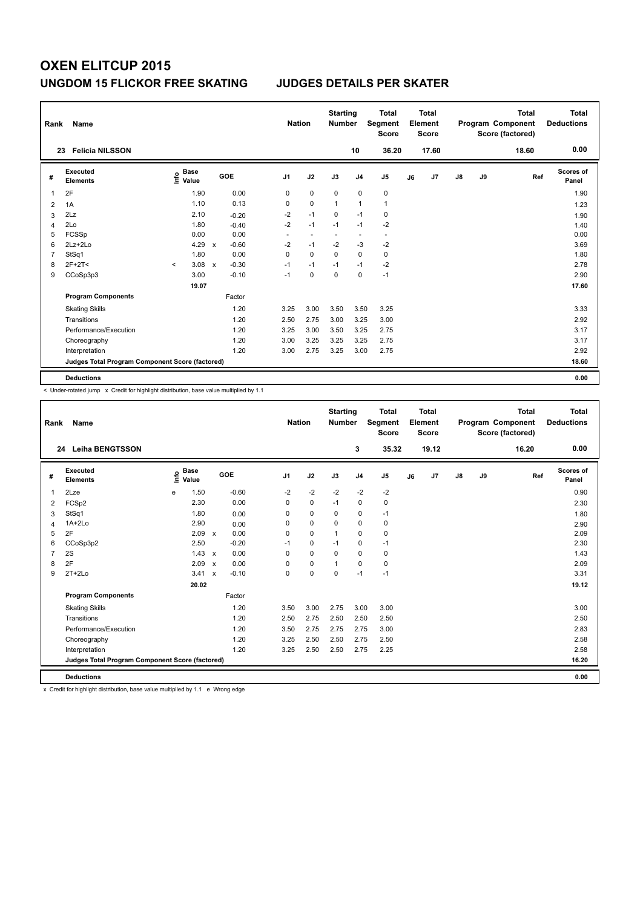| Rank           | Name                                            |                                  |                           |         |                          | <b>Nation</b>            | <b>Starting</b><br><b>Number</b> |                | <b>Total</b><br>Segment<br><b>Score</b> |    | <b>Total</b><br>Element<br><b>Score</b> |               |    | <b>Total</b><br>Program Component<br>Score (factored) | <b>Total</b><br><b>Deductions</b> |
|----------------|-------------------------------------------------|----------------------------------|---------------------------|---------|--------------------------|--------------------------|----------------------------------|----------------|-----------------------------------------|----|-----------------------------------------|---------------|----|-------------------------------------------------------|-----------------------------------|
|                | <b>Felicia NILSSON</b><br>23                    |                                  |                           |         |                          |                          |                                  | 10             | 36.20                                   |    | 17.60                                   |               |    | 18.60                                                 | 0.00                              |
| #              | Executed<br><b>Elements</b>                     | <b>Base</b><br>e Base<br>⊆ Value |                           | GOE     | J <sub>1</sub>           | J2                       | J3                               | J <sub>4</sub> | J <sub>5</sub>                          | J6 | J <sub>7</sub>                          | $\mathsf{J}8$ | J9 | Ref                                                   | Scores of<br>Panel                |
| 1              | 2F                                              | 1.90                             |                           | 0.00    | 0                        | $\mathbf 0$              | $\mathbf 0$                      | $\mathbf 0$    | 0                                       |    |                                         |               |    |                                                       | 1.90                              |
| 2              | 1A                                              | 1.10                             |                           | 0.13    | 0                        | $\mathbf 0$              | $\mathbf{1}$                     | $\mathbf{1}$   | $\mathbf{1}$                            |    |                                         |               |    |                                                       | 1.23                              |
| 3              | 2Lz                                             | 2.10                             |                           | $-0.20$ | $-2$                     | $-1$                     | 0                                | $-1$           | 0                                       |    |                                         |               |    |                                                       | 1.90                              |
| $\overline{4}$ | 2Lo                                             | 1.80                             |                           | $-0.40$ | $-2$                     | $-1$                     | $-1$                             | $-1$           | $-2$                                    |    |                                         |               |    |                                                       | 1.40                              |
| 5              | FCSSp                                           | 0.00                             |                           | 0.00    | $\overline{\phantom{a}}$ | $\overline{\phantom{a}}$ |                                  | ٠              | $\overline{\phantom{a}}$                |    |                                         |               |    |                                                       | 0.00                              |
| 6              | $2Lz+2Lo$                                       | 4.29                             | $\boldsymbol{\mathsf{x}}$ | $-0.60$ | $-2$                     | $-1$                     | $-2$                             | $-3$           | $-2$                                    |    |                                         |               |    |                                                       | 3.69                              |
| $\overline{7}$ | StSq1                                           | 1.80                             |                           | 0.00    | 0                        | $\mathbf 0$              | $\mathbf 0$                      | $\mathbf 0$    | $\pmb{0}$                               |    |                                         |               |    |                                                       | 1.80                              |
| 8              | $2F+2T<$                                        | 3.08<br>$\prec$                  | $\mathsf{x}$              | $-0.30$ | $-1$                     | $-1$                     | $-1$                             | $-1$           | $-2$                                    |    |                                         |               |    |                                                       | 2.78                              |
| 9              | CCoSp3p3                                        | 3.00                             |                           | $-0.10$ | $-1$                     | $\mathbf 0$              | $\mathbf 0$                      | 0              | $-1$                                    |    |                                         |               |    |                                                       | 2.90                              |
|                |                                                 | 19.07                            |                           |         |                          |                          |                                  |                |                                         |    |                                         |               |    |                                                       | 17.60                             |
|                | <b>Program Components</b>                       |                                  |                           | Factor  |                          |                          |                                  |                |                                         |    |                                         |               |    |                                                       |                                   |
|                | <b>Skating Skills</b>                           |                                  |                           | 1.20    | 3.25                     | 3.00                     | 3.50                             | 3.50           | 3.25                                    |    |                                         |               |    |                                                       | 3.33                              |
|                | Transitions                                     |                                  |                           | 1.20    | 2.50                     | 2.75                     | 3.00                             | 3.25           | 3.00                                    |    |                                         |               |    |                                                       | 2.92                              |
|                | Performance/Execution                           |                                  |                           | 1.20    | 3.25                     | 3.00                     | 3.50                             | 3.25           | 2.75                                    |    |                                         |               |    |                                                       | 3.17                              |
|                | Choreography                                    |                                  |                           | 1.20    | 3.00                     | 3.25                     | 3.25                             | 3.25           | 2.75                                    |    |                                         |               |    |                                                       | 3.17                              |
|                | Interpretation                                  |                                  |                           | 1.20    | 3.00                     | 2.75                     | 3.25                             | 3.00           | 2.75                                    |    |                                         |               |    |                                                       | 2.92                              |
|                | Judges Total Program Component Score (factored) |                                  |                           |         |                          |                          |                                  |                |                                         |    |                                         |               |    |                                                       | 18.60                             |
|                | <b>Deductions</b>                               |                                  |                           |         |                          |                          |                                  |                |                                         |    |                                         |               |    |                                                       | 0.00                              |

-<br>< Under-rotated jump x Credit for highlight distribution, base value multiplied by 1.1

| Rank           | Name                                            |                              |                           |         | <b>Nation</b>  |             | <b>Starting</b><br><b>Number</b> |                | <b>Total</b><br><b>Segment</b><br><b>Score</b> |    | Total<br>Element<br><b>Score</b> |    |    | <b>Total</b><br>Program Component<br>Score (factored) | Total<br><b>Deductions</b> |
|----------------|-------------------------------------------------|------------------------------|---------------------------|---------|----------------|-------------|----------------------------------|----------------|------------------------------------------------|----|----------------------------------|----|----|-------------------------------------------------------|----------------------------|
| 24             | <b>Leiha BENGTSSON</b>                          |                              |                           |         |                |             |                                  | 3              | 35.32                                          |    | 19.12                            |    |    | 16.20                                                 | 0.00                       |
| #              | Executed<br><b>Elements</b>                     | <b>Base</b><br>١nf٥<br>Value |                           | GOE     | J <sub>1</sub> | J2          | J3                               | J <sub>4</sub> | J <sub>5</sub>                                 | J6 | J7                               | J8 | J9 | Ref                                                   | Scores of<br>Panel         |
| $\mathbf 1$    | 2Lze                                            | 1.50<br>e                    |                           | $-0.60$ | $-2$           | $-2$        | $-2$                             | $-2$           | $-2$                                           |    |                                  |    |    |                                                       | 0.90                       |
| 2              | FCSp2                                           | 2.30                         |                           | 0.00    | 0              | $\mathbf 0$ | $-1$                             | $\mathbf 0$    | $\mathbf 0$                                    |    |                                  |    |    |                                                       | 2.30                       |
| 3              | StSq1                                           | 1.80                         |                           | 0.00    | 0              | $\mathbf 0$ | $\mathbf 0$                      | $\pmb{0}$      | $-1$                                           |    |                                  |    |    |                                                       | 1.80                       |
| 4              | $1A+2Lo$                                        | 2.90                         |                           | 0.00    | 0              | $\mathbf 0$ | 0                                | $\mathbf 0$    | $\mathbf 0$                                    |    |                                  |    |    |                                                       | 2.90                       |
| 5              | 2F                                              | 2.09                         | $\mathbf{x}$              | 0.00    | 0              | $\Omega$    | $\mathbf{1}$                     | $\mathbf 0$    | 0                                              |    |                                  |    |    |                                                       | 2.09                       |
| 6              | CCoSp3p2                                        | 2.50                         |                           | $-0.20$ | $-1$           | $\mathbf 0$ | $-1$                             | $\mathbf 0$    | $-1$                                           |    |                                  |    |    |                                                       | 2.30                       |
| $\overline{7}$ | 2S                                              | 1.43                         | $\boldsymbol{\mathsf{x}}$ | 0.00    | $\Omega$       | $\Omega$    | $\Omega$                         | $\Omega$       | $\mathbf 0$                                    |    |                                  |    |    |                                                       | 1.43                       |
| 8              | 2F                                              | 2.09                         | $\boldsymbol{\mathsf{x}}$ | 0.00    | 0              | $\mathbf 0$ | $\mathbf{1}$                     | $\mathbf 0$    | $\mathbf 0$                                    |    |                                  |    |    |                                                       | 2.09                       |
| 9              | $2T+2Lo$                                        | 3.41                         | $\boldsymbol{\mathsf{x}}$ | $-0.10$ | 0              | $\mathbf 0$ | 0                                | $-1$           | $-1$                                           |    |                                  |    |    |                                                       | 3.31                       |
|                |                                                 | 20.02                        |                           |         |                |             |                                  |                |                                                |    |                                  |    |    |                                                       | 19.12                      |
|                | <b>Program Components</b>                       |                              |                           | Factor  |                |             |                                  |                |                                                |    |                                  |    |    |                                                       |                            |
|                | <b>Skating Skills</b>                           |                              |                           | 1.20    | 3.50           | 3.00        | 2.75                             | 3.00           | 3.00                                           |    |                                  |    |    |                                                       | 3.00                       |
|                | Transitions                                     |                              |                           | 1.20    | 2.50           | 2.75        | 2.50                             | 2.50           | 2.50                                           |    |                                  |    |    |                                                       | 2.50                       |
|                | Performance/Execution                           |                              |                           | 1.20    | 3.50           | 2.75        | 2.75                             | 2.75           | 3.00                                           |    |                                  |    |    |                                                       | 2.83                       |
|                | Choreography                                    |                              |                           | 1.20    | 3.25           | 2.50        | 2.50                             | 2.75           | 2.50                                           |    |                                  |    |    |                                                       | 2.58                       |
|                | Interpretation                                  |                              |                           | 1.20    | 3.25           | 2.50        | 2.50                             | 2.75           | 2.25                                           |    |                                  |    |    |                                                       | 2.58                       |
|                | Judges Total Program Component Score (factored) |                              |                           |         |                |             |                                  |                |                                                |    |                                  |    |    |                                                       | 16.20                      |
|                | <b>Deductions</b>                               |                              |                           |         |                |             |                                  |                |                                                |    |                                  |    |    |                                                       | 0.00                       |